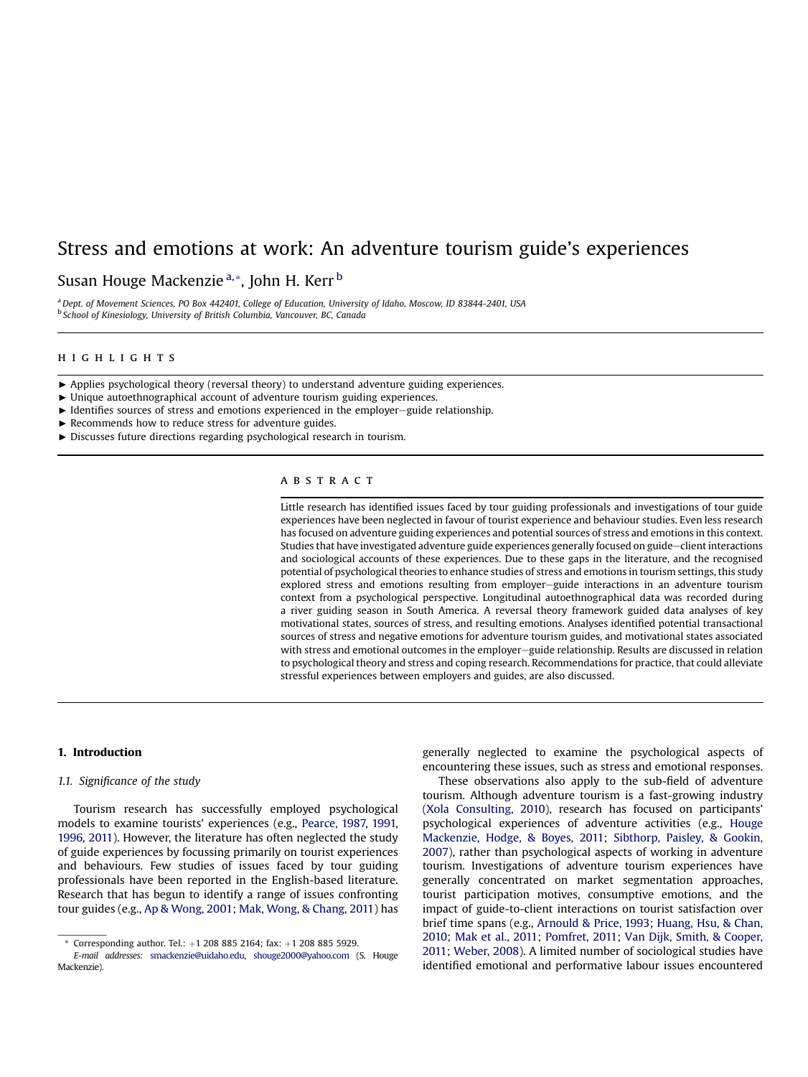# Stress and emotions at work: An adventure tourism guide's experiences

Susan Houge Mackenzie<sup>a,</sup>\*, John H. Kerr <sup>b</sup>

<sup>a</sup> Dept. of Movement Sciences, PO Box 442401, College of Education, University of Idaho, Moscow, ID 83844-2401, USA b School of Kinesiology, University of British Columbia, Vancouver, BC, Canada

- ▶ Applies psychological theory (reversal theory) to understand adventure guiding experiences.
- < Unique autoethnographical account of adventure tourism guiding experiences.
- $\blacktriangleright$  Identifies sources of stress and emotions experienced in the employer-guide relationship.
- $\blacktriangleright$  Recommends how to reduce stress for adventure guides.
- < Discusses future directions regarding psychological research in tourism.

# abstract

Little research has identified issues faced by tour guiding professionals and investigations of tour guide experiences have been neglected in favour of tourist experience and behaviour studies. Even less research has focused on adventure guiding experiences and potential sources of stress and emotions in this context. Studies that have investigated adventure guide experiences generally focused on guide–client interactions and sociological accounts of these experiences. Due to these gaps in the literature, and the recognised potential of psychological theories to enhance studies of stress and emotions in tourism settings, this study explored stress and emotions resulting from employer-guide interactions in an adventure tourism context from a psychological perspective. Longitudinal autoethnographical data was recorded during a river guiding season in South America. A reversal theory framework guided data analyses of key motivational states, sources of stress, and resulting emotions. Analyses identified potential transactional sources of stress and negative emotions for adventure tourism guides, and motivational states associated with stress and emotional outcomes in the employer-guide relationship. Results are discussed in relation to psychological theory and stress and coping research. Recommendations for practice, that could alleviate stressful experiences between employers and guides, are also discussed.

#### 1. Introduction

#### 1.1. Significance of the study

Tourism research has successfully employed psychological models to examine tourists' experiences (e.g., [Pearce,](#page-10-0) 1987, [1991,](#page-10-0) [1996,](#page-10-0) [2011](#page-10-0)). However, the literature has often neglected the study of guide experiences by focussing primarily on tourist experiences and behaviours. Few studies of issues faced by tour guiding professionals have been reported in the English-based literature. Research that has begun to identify a range of issues confronting tour guides (e.g., Ap & [Wong,](#page-9-0) 2001; Mak, Wong, & [Chang,](#page-10-0) 2011) has generally neglected to examine the psychological aspects of encountering these issues, such as stress and emotional responses.

These observations also apply to the sub-field of adventure tourism. Although adventure tourism is a fast-growing industry (Xola [Consulting,](#page-11-0) 2010), research has focused on participants' psychological experiences of adventure activities (e.g., [Houge](#page-10-0) [Mackenzie,](#page-10-0) Hodge, & Boyes, 2011; [Sibthorp,](#page-11-0) Paisley, & Gookin, [2007\)](#page-11-0), rather than psychological aspects of working in adventure tourism. Investigations of adventure tourism experiences have generally concentrated on market segmentation approaches, tourist participation motives, consumptive emotions, and the impact of guide-to-client interactions on tourist satisfaction over brief time spans (e.g., [Arnould](#page-9-0) & Price, 1993; [Huang,](#page-10-0) Hsu, & Chan, [2010;](#page-10-0) Mak et al., [2011](#page-10-0); [Pomfret,](#page-10-0) 2011; Van Dijk, Smith, & [Cooper,](#page-11-0) [2011](#page-11-0); [Weber,](#page-11-0) 2008). A limited number of sociological studies have identified emotional and performative labour issues encountered

<sup>\*</sup> Corresponding author. Tel.:  $+1$  208 885 2164; fax:  $+1$  208 885 5929.

E-mail addresses: smackenzie@uidaho.edu, shouge2000@yahoo.com (S. Houge Mackenzie).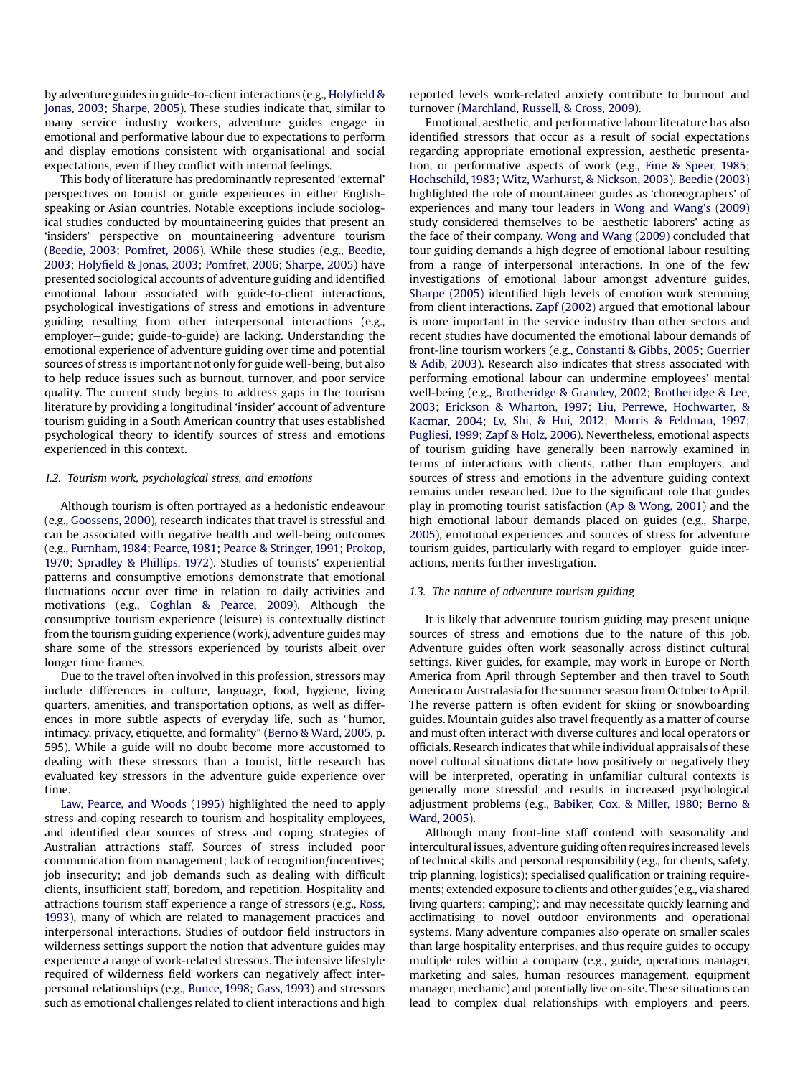by adventure guides in guide-to-client interactions (e.g., [Holy](#page-10-0)field & [Jonas,](#page-10-0) 2003; [Sharpe,](#page-11-0) 2005). These studies indicate that, similar to many service industry workers, adventure guides engage in emotional and performative labour due to expectations to perform and display emotions consistent with organisational and social expectations, even if they conflict with internal feelings.

This body of literature has predominantly represented 'external' perspectives on tourist or guide experiences in either Englishspeaking or Asian countries. Notable exceptions include sociological studies conducted by mountaineering guides that present an 'insiders' perspective on mountaineering adventure tourism ([Beedie,](#page-9-0) 2003; [Pomfret,](#page-10-0) 2006). While these studies (e.g., [Beedie,](#page-9-0) [2003](#page-9-0); Holyfield & [Jonas,](#page-10-0) 2003; [Pomfret,](#page-10-0) 2006; [Sharpe,](#page-11-0) 2005) have presented sociological accounts of adventure guiding and identified emotional labour associated with guide-to-client interactions, psychological investigations of stress and emotions in adventure guiding resulting from other interpersonal interactions (e.g., employer-guide; guide-to-guide) are lacking. Understanding the emotional experience of adventure guiding over time and potential sources of stress is important not only for guide well-being, but also to help reduce issues such as burnout, turnover, and poor service quality. The current study begins to address gaps in the tourism literature by providing a longitudinal 'insider' account of adventure tourism guiding in a South American country that uses established psychological theory to identify sources of stress and emotions experienced in this context.

#### 1.2. Tourism work, psychological stress, and emotions

Although tourism is often portrayed as a hedonistic endeavour (e.g., [Goossens,](#page-10-0) 2000), research indicates that travel is stressful and can be associated with negative health and well-being outcomes (e.g., [Furnham,](#page-10-0) 1984; [Pearce,](#page-10-0) 1981; Pearce & [Stringer,](#page-10-0) 1991; [Prokop,](#page-10-0) [1970](#page-10-0); [Spradley](#page-11-0) & Phillips, 1972). Studies of tourists' experiential patterns and consumptive emotions demonstrate that emotional fluctuations occur over time in relation to daily activities and motivations (e.g., [Coghlan](#page-10-0) & Pearce, 2009). Although the consumptive tourism experience (leisure) is contextually distinct from the tourism guiding experience (work), adventure guides may share some of the stressors experienced by tourists albeit over longer time frames.

Due to the travel often involved in this profession, stressors may include differences in culture, language, food, hygiene, living quarters, amenities, and transportation options, as well as differences in more subtle aspects of everyday life, such as "humor, intimacy, privacy, etiquette, and formality" (Berno & [Ward,](#page-9-0) 2005, p. 595). While a guide will no doubt become more accustomed to dealing with these stressors than a tourist, little research has evaluated key stressors in the adventure guide experience over time.

Law, [Pearce,](#page-10-0) and Woods (1995) highlighted the need to apply stress and coping research to tourism and hospitality employees, and identified clear sources of stress and coping strategies of Australian attractions staff. Sources of stress included poor communication from management; lack of recognition/incentives; job insecurity; and job demands such as dealing with difficult clients, insufficient staff, boredom, and repetition. Hospitality and attractions tourism staff experience a range of stressors (e.g., [Ross,](#page-11-0) [1993](#page-11-0)), many of which are related to management practices and interpersonal interactions. Studies of outdoor field instructors in wilderness settings support the notion that adventure guides may experience a range of work-related stressors. The intensive lifestyle required of wilderness field workers can negatively affect interpersonal relationships (e.g., [Bunce,](#page-10-0) 1998; [Gass,](#page-10-0) 1993) and stressors such as emotional challenges related to client interactions and high reported levels work-related anxiety contribute to burnout and turnover [\(Marchland,](#page-10-0) Russell, & Cross, 2009).

Emotional, aesthetic, and performative labour literature has also identified stressors that occur as a result of social expectations regarding appropriate emotional expression, aesthetic presentation, or performative aspects of work (e.g., Fine & [Speer,](#page-10-0) 1985; [Hochschild,](#page-10-0) 1983; Witz, [Warhurst,](#page-11-0) & Nickson, 2003). Beedie [\(2003\)](#page-9-0) highlighted the role of mountaineer guides as 'choreographers' of experiences and many tour leaders in Wong and Wang's [\(2009\)](#page-11-0) study considered themselves to be 'aesthetic laborers' acting as the face of their company. Wong and Wang [\(2009\)](#page-11-0) concluded that tour guiding demands a high degree of emotional labour resulting from a range of interpersonal interactions. In one of the few investigations of emotional labour amongst adventure guides, [Sharpe](#page-11-0) (2005) identified high levels of emotion work stemming from client interactions. Zapf [\(2002\)](#page-11-0) argued that emotional labour is more important in the service industry than other sectors and recent studies have documented the emotional labour demands of front-line tourism workers (e.g., [Constanti](#page-10-0) & Gibbs, 2005; [Guerrier](#page-10-0) & [Adib,](#page-10-0) 2003). Research also indicates that stress associated with performing emotional labour can undermine employees' mental well-being (e.g., [Brotheridge](#page-9-0) & Grandey, 2002; [Brotheridge](#page-9-0) & Lee, [2003](#page-9-0); Erickson & [Wharton,](#page-10-0) 1997; Liu, Perrewe, [Hochwarter,](#page-10-0) & [Kacmar,](#page-10-0) 2004; Lv, Shi, & Hui, [2012](#page-10-0); Morris & [Feldman,](#page-10-0) 1997; [Pugliesi,](#page-10-0) 1999; Zapf & Holz, [2006](#page-11-0)). Nevertheless, emotional aspects of tourism guiding have generally been narrowly examined in terms of interactions with clients, rather than employers, and sources of stress and emotions in the adventure guiding context remains under researched. Due to the significant role that guides play in promoting tourist satisfaction (Ap & [Wong,](#page-9-0) 2001) and the high emotional labour demands placed on guides (e.g., [Sharpe,](#page-11-0) [2005](#page-11-0)), emotional experiences and sources of stress for adventure tourism guides, particularly with regard to employer-guide interactions, merits further investigation.

#### 1.3. The nature of adventure tourism guiding

It is likely that adventure tourism guiding may present unique sources of stress and emotions due to the nature of this job. Adventure guides often work seasonally across distinct cultural settings. River guides, for example, may work in Europe or North America from April through September and then travel to South America or Australasia for the summer season from October to April. The reverse pattern is often evident for skiing or snowboarding guides. Mountain guides also travel frequently as a matter of course and must often interact with diverse cultures and local operators or officials. Research indicates that while individual appraisals of these novel cultural situations dictate how positively or negatively they will be interpreted, operating in unfamiliar cultural contexts is generally more stressful and results in increased psychological adjustment problems (e.g., [Babiker,](#page-9-0) Cox, & Miller, 1980; [Berno](#page-9-0) & [Ward,](#page-9-0) 2005).

Although many front-line staff contend with seasonality and intercultural issues, adventure guiding often requires increased levels of technical skills and personal responsibility (e.g., for clients, safety, trip planning, logistics); specialised qualification or training requirements; extended exposure to clients and other guides (e.g., via shared living quarters; camping); and may necessitate quickly learning and acclimatising to novel outdoor environments and operational systems. Many adventure companies also operate on smaller scales than large hospitality enterprises, and thus require guides to occupy multiple roles within a company (e.g., guide, operations manager, marketing and sales, human resources management, equipment manager, mechanic) and potentially live on-site. These situations can lead to complex dual relationships with employers and peers.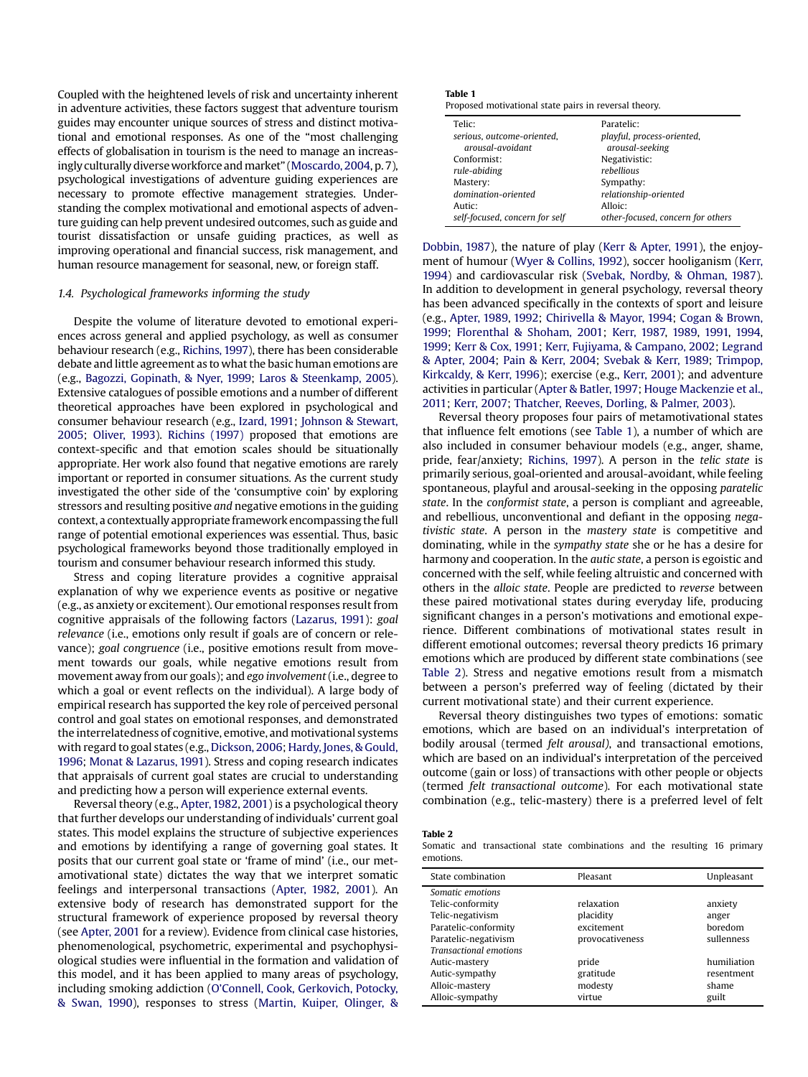Coupled with the heightened levels of risk and uncertainty inherent in adventure activities, these factors suggest that adventure tourism guides may encounter unique sources of stress and distinct motivational and emotional responses. As one of the "most challenging effects of globalisation in tourism is the need to manage an increas-ingly culturally diverse workforce and market" ([Moscardo,](#page-10-0) 2004, p. 7), psychological investigations of adventure guiding experiences are necessary to promote effective management strategies. Understanding the complex motivational and emotional aspects of adventure guiding can help prevent undesired outcomes, such as guide and tourist dissatisfaction or unsafe guiding practices, as well as improving operational and financial success, risk management, and human resource management for seasonal, new, or foreign staff.

#### 1.4. Psychological frameworks informing the study

Despite the volume of literature devoted to emotional experiences across general and applied psychology, as well as consumer behaviour research (e.g., [Richins,](#page-11-0) 1997), there has been considerable debate and little agreement as to what the basic human emotions are (e.g., Bagozzi, [Gopinath,](#page-9-0) & Nyer, 1999; Laros & [Steenkamp,](#page-10-0) 2005). Extensive catalogues of possible emotions and a number of different theoretical approaches have been explored in psychological and consumer behaviour research (e.g., [Izard,](#page-10-0) 1991; Johnson & [Stewart,](#page-10-0) [2005;](#page-10-0) [Oliver,](#page-10-0) 1993). [Richins](#page-11-0) (1997) proposed that emotions are context-specific and that emotion scales should be situationally appropriate. Her work also found that negative emotions are rarely important or reported in consumer situations. As the current study investigated the other side of the 'consumptive coin' by exploring stressors and resulting positive and negative emotions in the guiding context, a contextually appropriate framework encompassing the full range of potential emotional experiences was essential. Thus, basic psychological frameworks beyond those traditionally employed in tourism and consumer behaviour research informed this study.

Stress and coping literature provides a cognitive appraisal explanation of why we experience events as positive or negative (e.g., as anxiety or excitement). Our emotional responses result from cognitive appraisals of the following factors [\(Lazarus,](#page-10-0) 1991): goal relevance (i.e., emotions only result if goals are of concern or relevance); goal congruence (i.e., positive emotions result from movement towards our goals, while negative emotions result from movement away from our goals); and ego involvement(i.e., degree to which a goal or event reflects on the individual). A large body of empirical research has supported the key role of perceived personal control and goal states on emotional responses, and demonstrated the interrelatedness of cognitive, emotive, and motivational systems with regard to goal states (e.g., [Dickson,](#page-10-0) 2006; Hardy, Jones, & Gould, [1996;](#page-10-0) Monat & [Lazarus,](#page-10-0) 1991). Stress and coping research indicates that appraisals of current goal states are crucial to understanding and predicting how a person will experience external events.

Reversal theory (e.g., [Apter,1982](#page-9-0), [2001\)](#page-9-0) is a psychological theory that further develops our understanding of individuals' current goal states. This model explains the structure of subjective experiences and emotions by identifying a range of governing goal states. It posits that our current goal state or 'frame of mind' (i.e., our metamotivational state) dictates the way that we interpret somatic feelings and interpersonal transactions ([Apter,](#page-9-0) 1982, [2001\)](#page-9-0). An extensive body of research has demonstrated support for the structural framework of experience proposed by reversal theory (see [Apter,](#page-9-0) 2001 for a review). Evidence from clinical case histories, phenomenological, psychometric, experimental and psychophysiological studies were influential in the formation and validation of this model, and it has been applied to many areas of psychology, including smoking addiction (O'Connell, Cook, [Gerkovich,](#page-10-0) Potocky, & [Swan,](#page-10-0) 1990), responses to stress (Martin, Kuiper, [Olinger,](#page-10-0) &

| Table 1                                               |
|-------------------------------------------------------|
| Proposed motivational state pairs in reversal theory. |

| Telic:                         | Paratelic:                        |
|--------------------------------|-----------------------------------|
| serious, outcome-oriented,     | playful, process-oriented,        |
| arousal-avoidant               | arousal-seeking                   |
| Conformist:                    | Negativistic:                     |
| rule-abiding                   | rebellious                        |
| Mastery:                       | Sympathy:                         |
| domination-oriented            | relationship-oriented             |
| Autic:                         | Alloic:                           |
| self-focused, concern for self | other-focused, concern for others |
|                                |                                   |

[Dobbin,](#page-10-0) 1987), the nature of play (Kerr & [Apter,](#page-10-0) 1991), the enjoyment of humour (Wyer & [Collins,](#page-11-0) 1992), soccer hooliganism ([Kerr,](#page-10-0) [1994\)](#page-10-0) and cardiovascular risk (Svebak, Nordby, & [Ohman,](#page-11-0) 1987). In addition to development in general psychology, reversal theory has been advanced specifically in the contexts of sport and leisure (e.g., [Apter,](#page-9-0) 1989, [1992](#page-9-0); [Chirivella](#page-10-0) & Mayor, 1994; Cogan & [Brown,](#page-10-0) [1999;](#page-10-0) [Florenthal](#page-10-0) & Shoham, 2001; Kerr, [1987,](#page-10-0) [1989](#page-10-0), [1991,](#page-10-0) [1994,](#page-10-0) [1999;](#page-10-0) Kerr & Cox, [1991](#page-10-0); Kerr, Fujiyama, & [Campano,](#page-10-0) 2002; [Legrand](#page-10-0) & [Apter,](#page-10-0) 2004; Pain & Kerr, [2004](#page-10-0); [Svebak](#page-11-0) & Kerr, 1989; [Trimpop,](#page-11-0) [Kirkcaldy,](#page-11-0) & Kerr, 1996); exercise (e.g., Kerr, [2001\)](#page-10-0); and adventure activities in particular (Apter & [Batler,1997](#page-9-0); Houge [Mackenzie](#page-10-0) et al., [2011](#page-10-0); Kerr, [2007](#page-10-0); [Thatcher,](#page-11-0) Reeves, Dorling, & Palmer, 2003).

Reversal theory proposes four pairs of metamotivational states that influence felt emotions (see Table 1), a number of which are also included in consumer behaviour models (e.g., anger, shame, pride, fear/anxiety; [Richins,](#page-11-0) 1997). A person in the telic state is primarily serious, goal-oriented and arousal-avoidant, while feeling spontaneous, playful and arousal-seeking in the opposing paratelic state. In the conformist state, a person is compliant and agreeable, and rebellious, unconventional and defiant in the opposing negativistic state. A person in the mastery state is competitive and dominating, while in the sympathy state she or he has a desire for harmony and cooperation. In the autic state, a person is egoistic and concerned with the self, while feeling altruistic and concerned with others in the alloic state. People are predicted to reverse between these paired motivational states during everyday life, producing significant changes in a person's motivations and emotional experience. Different combinations of motivational states result in different emotional outcomes; reversal theory predicts 16 primary emotions which are produced by different state combinations (see Table 2). Stress and negative emotions result from a mismatch between a person's preferred way of feeling (dictated by their current motivational state) and their current experience.

Reversal theory distinguishes two types of emotions: somatic emotions, which are based on an individual's interpretation of bodily arousal (termed felt arousal), and transactional emotions, which are based on an individual's interpretation of the perceived outcome (gain or loss) of transactions with other people or objects (termed felt transactional outcome). For each motivational state combination (e.g., telic-mastery) there is a preferred level of felt

#### Table 2

Somatic and transactional state combinations and the resulting 16 primary emotions.

| State combination                                                                                        | Pleasant                                                 | Unpleasant                                  |
|----------------------------------------------------------------------------------------------------------|----------------------------------------------------------|---------------------------------------------|
| Somatic emotions<br>Telic-conformity<br>Telic-negativism<br>Paratelic-conformity<br>Paratelic-negativism | relaxation<br>placidity<br>excitement<br>provocativeness | anxiety<br>anger<br>boredom<br>sullenness   |
| <b>Transactional emotions</b><br>Autic-mastery<br>Autic-sympathy<br>Alloic-mastery<br>Alloic-sympathy    | pride<br>gratitude<br>modesty<br>virtue                  | humiliation<br>resentment<br>shame<br>guilt |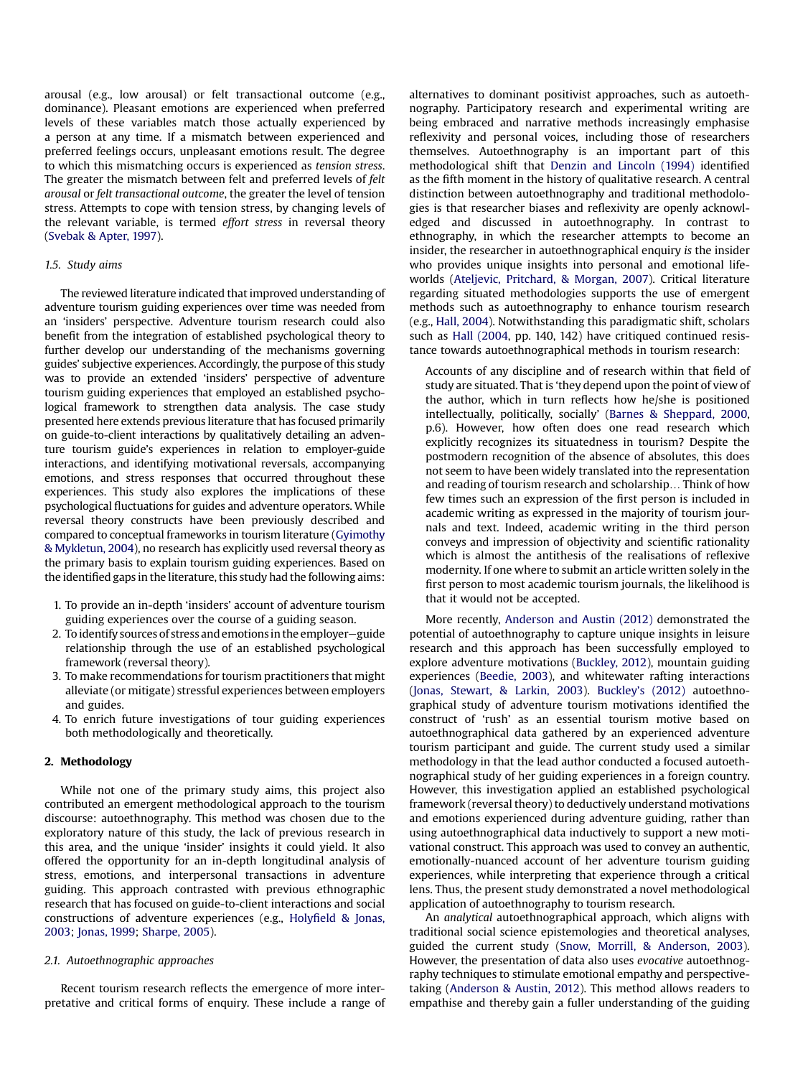arousal (e.g., low arousal) or felt transactional outcome (e.g., dominance). Pleasant emotions are experienced when preferred levels of these variables match those actually experienced by a person at any time. If a mismatch between experienced and preferred feelings occurs, unpleasant emotions result. The degree to which this mismatching occurs is experienced as tension stress. The greater the mismatch between felt and preferred levels of felt arousal or felt transactional outcome, the greater the level of tension stress. Attempts to cope with tension stress, by changing levels of the relevant variable, is termed effort stress in reversal theory ([Svebak](#page-11-0) & Apter, 1997).

### 1.5. Study aims

The reviewed literature indicated that improved understanding of adventure tourism guiding experiences over time was needed from an 'insiders' perspective. Adventure tourism research could also benefit from the integration of established psychological theory to further develop our understanding of the mechanisms governing guides' subjective experiences. Accordingly, the purpose of this study was to provide an extended 'insiders' perspective of adventure tourism guiding experiences that employed an established psychological framework to strengthen data analysis. The case study presented here extends previous literature that has focused primarily on guide-to-client interactions by qualitatively detailing an adventure tourism guide's experiences in relation to employer-guide interactions, and identifying motivational reversals, accompanying emotions, and stress responses that occurred throughout these experiences. This study also explores the implications of these psychological fluctuations for guides and adventure operators. While reversal theory constructs have been previously described and compared to conceptual frameworks in tourism literature ([Gyimothy](#page-10-0) & [Mykletun,](#page-10-0) 2004), no research has explicitly used reversal theory as the primary basis to explain tourism guiding experiences. Based on the identified gaps in the literature, this study had the following aims:

- 1. To provide an in-depth 'insiders' account of adventure tourism guiding experiences over the course of a guiding season.
- 2. To identify sources of stress and emotions in the employer-guide relationship through the use of an established psychological framework (reversal theory).
- 3. To make recommendations for tourism practitioners that might alleviate (or mitigate) stressful experiences between employers and guides.
- 4. To enrich future investigations of tour guiding experiences both methodologically and theoretically.

# 2. Methodology

While not one of the primary study aims, this project also contributed an emergent methodological approach to the tourism discourse: autoethnography. This method was chosen due to the exploratory nature of this study, the lack of previous research in this area, and the unique 'insider' insights it could yield. It also offered the opportunity for an in-depth longitudinal analysis of stress, emotions, and interpersonal transactions in adventure guiding. This approach contrasted with previous ethnographic research that has focused on guide-to-client interactions and social constructions of adventure experiences (e.g., Holyfield & [Jonas,](#page-10-0) [2003](#page-10-0); [Jonas,](#page-10-0) 1999; [Sharpe,](#page-11-0) 2005).

## 2.1. Autoethnographic approaches

Recent tourism research reflects the emergence of more interpretative and critical forms of enquiry. These include a range of alternatives to dominant positivist approaches, such as autoethnography. Participatory research and experimental writing are being embraced and narrative methods increasingly emphasise reflexivity and personal voices, including those of researchers themselves. Autoethnography is an important part of this methodological shift that Denzin and [Lincoln](#page-10-0) (1994) identified as the fifth moment in the history of qualitative research. A central distinction between autoethnography and traditional methodologies is that researcher biases and reflexivity are openly acknowledged and discussed in autoethnography. In contrast to ethnography, in which the researcher attempts to become an insider, the researcher in autoethnographical enquiry is the insider who provides unique insights into personal and emotional lifeworlds (Ateljevic, [Pritchard,](#page-9-0) & Morgan, 2007). Critical literature regarding situated methodologies supports the use of emergent methods such as autoethnography to enhance tourism research (e.g., Hall, [2004](#page-10-0)). Notwithstanding this paradigmatic shift, scholars such as Hall [\(2004,](#page-10-0) pp. 140, 142) have critiqued continued resistance towards autoethnographical methods in tourism research:

Accounts of any discipline and of research within that field of study are situated. That is 'they depend upon the point of view of the author, which in turn reflects how he/she is positioned intellectually, politically, socially' (Barnes & [Sheppard,](#page-9-0) 2000, p.6). However, how often does one read research which explicitly recognizes its situatedness in tourism? Despite the postmodern recognition of the absence of absolutes, this does not seem to have been widely translated into the representation and reading of tourism research and scholarship... Think of how few times such an expression of the first person is included in academic writing as expressed in the majority of tourism journals and text. Indeed, academic writing in the third person conveys and impression of objectivity and scientific rationality which is almost the antithesis of the realisations of reflexive modernity. If one where to submit an article written solely in the first person to most academic tourism journals, the likelihood is that it would not be accepted.

More recently, [Anderson](#page-9-0) and Austin (2012) demonstrated the potential of autoethnography to capture unique insights in leisure research and this approach has been successfully employed to explore adventure motivations ([Buckley,](#page-9-0) 2012), mountain guiding experiences ([Beedie,](#page-9-0) 2003), and whitewater rafting interactions (Jonas, [Stewart,](#page-10-0) & Larkin, 2003). [Buckley](#page-9-0)'s (2012) autoethnographical study of adventure tourism motivations identified the construct of 'rush' as an essential tourism motive based on autoethnographical data gathered by an experienced adventure tourism participant and guide. The current study used a similar methodology in that the lead author conducted a focused autoethnographical study of her guiding experiences in a foreign country. However, this investigation applied an established psychological framework (reversal theory) to deductively understand motivations and emotions experienced during adventure guiding, rather than using autoethnographical data inductively to support a new motivational construct. This approach was used to convey an authentic, emotionally-nuanced account of her adventure tourism guiding experiences, while interpreting that experience through a critical lens. Thus, the present study demonstrated a novel methodological application of autoethnography to tourism research.

An analytical autoethnographical approach, which aligns with traditional social science epistemologies and theoretical analyses, guided the current study (Snow, Morrill, & [Anderson,](#page-11-0) 2003). However, the presentation of data also uses evocative autoethnography techniques to stimulate emotional empathy and perspectivetaking ([Anderson](#page-9-0) & Austin, 2012). This method allows readers to empathise and thereby gain a fuller understanding of the guiding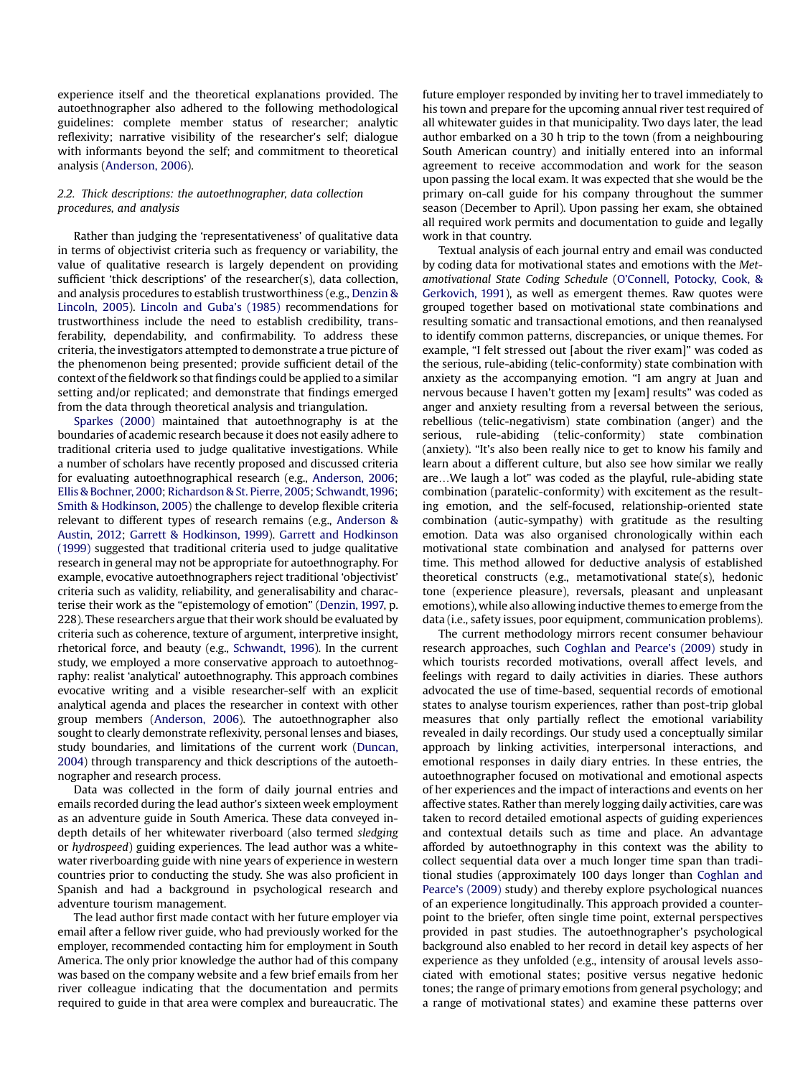experience itself and the theoretical explanations provided. The autoethnographer also adhered to the following methodological guidelines: complete member status of researcher; analytic reflexivity; narrative visibility of the researcher's self; dialogue with informants beyond the self; and commitment to theoretical analysis ([Anderson,](#page-9-0) 2006).

# 2.2. Thick descriptions: the autoethnographer, data collection procedures, and analysis

Rather than judging the 'representativeness' of qualitative data in terms of objectivist criteria such as frequency or variability, the value of qualitative research is largely dependent on providing sufficient 'thick descriptions' of the researcher(s), data collection, and analysis procedures to establish trustworthiness (e.g., [Denzin](#page-10-0) & [Lincoln,](#page-10-0) 2005). [Lincoln](#page-10-0) and Guba's (1985) recommendations for trustworthiness include the need to establish credibility, transferability, dependability, and confirmability. To address these criteria, the investigators attempted to demonstrate a true picture of the phenomenon being presented; provide sufficient detail of the context of the fieldwork so that findings could be applied to a similar setting and/or replicated; and demonstrate that findings emerged from the data through theoretical analysis and triangulation.

[Sparkes](#page-11-0) (2000) maintained that autoethnography is at the boundaries of academic research because it does not easily adhere to traditional criteria used to judge qualitative investigations. While a number of scholars have recently proposed and discussed criteria for evaluating autoethnographical research (e.g., [Anderson,](#page-9-0) 2006; Ellis & [Bochner,](#page-10-0) 2000; [Richardson](#page-11-0) & St. Pierre, 2005; [Schwandt,1996;](#page-11-0) Smith & [Hodkinson,](#page-11-0) 2005) the challenge to develop flexible criteria relevant to different types of research remains (e.g., [Anderson](#page-9-0) & [Austin,](#page-9-0) 2012; Garrett & [Hodkinson,](#page-10-0) 1999). Garrett and [Hodkinson](#page-10-0) [\(1999\)](#page-10-0) suggested that traditional criteria used to judge qualitative research in general may not be appropriate for autoethnography. For example, evocative autoethnographers reject traditional 'objectivist' criteria such as validity, reliability, and generalisability and characterise their work as the "epistemology of emotion" ([Denzin,](#page-10-0) 1997, p. 228). These researchers argue that their work should be evaluated by criteria such as coherence, texture of argument, interpretive insight, rhetorical force, and beauty (e.g., [Schwandt,](#page-11-0) 1996). In the current study, we employed a more conservative approach to autoethnography: realist 'analytical' autoethnography. This approach combines evocative writing and a visible researcher-self with an explicit analytical agenda and places the researcher in context with other group members ([Anderson,](#page-9-0) 2006). The autoethnographer also sought to clearly demonstrate reflexivity, personal lenses and biases, study boundaries, and limitations of the current work [\(Duncan,](#page-10-0) [2004\)](#page-10-0) through transparency and thick descriptions of the autoethnographer and research process.

Data was collected in the form of daily journal entries and emails recorded during the lead author's sixteen week employment as an adventure guide in South America. These data conveyed indepth details of her whitewater riverboard (also termed sledging or hydrospeed) guiding experiences. The lead author was a whitewater riverboarding guide with nine years of experience in western countries prior to conducting the study. She was also proficient in Spanish and had a background in psychological research and adventure tourism management.

The lead author first made contact with her future employer via email after a fellow river guide, who had previously worked for the employer, recommended contacting him for employment in South America. The only prior knowledge the author had of this company was based on the company website and a few brief emails from her river colleague indicating that the documentation and permits required to guide in that area were complex and bureaucratic. The future employer responded by inviting her to travel immediately to his town and prepare for the upcoming annual river test required of all whitewater guides in that municipality. Two days later, the lead author embarked on a 30 h trip to the town (from a neighbouring South American country) and initially entered into an informal agreement to receive accommodation and work for the season upon passing the local exam. It was expected that she would be the primary on-call guide for his company throughout the summer season (December to April). Upon passing her exam, she obtained all required work permits and documentation to guide and legally work in that country.

Textual analysis of each journal entry and email was conducted by coding data for motivational states and emotions with the Metamotivational State Coding Schedule (O'Connell, [Potocky,](#page-10-0) Cook, & [Gerkovich,](#page-10-0) 1991), as well as emergent themes. Raw quotes were grouped together based on motivational state combinations and resulting somatic and transactional emotions, and then reanalysed to identify common patterns, discrepancies, or unique themes. For example, "I felt stressed out [about the river exam]" was coded as the serious, rule-abiding (telic-conformity) state combination with anxiety as the accompanying emotion. "I am angry at Juan and nervous because I haven't gotten my [exam] results" was coded as anger and anxiety resulting from a reversal between the serious, rebellious (telic-negativism) state combination (anger) and the serious, rule-abiding (telic-conformity) state combination (anxiety). "It's also been really nice to get to know his family and learn about a different culture, but also see how similar we really are...We laugh a lot" was coded as the playful, rule-abiding state combination (paratelic-conformity) with excitement as the resulting emotion, and the self-focused, relationship-oriented state combination (autic-sympathy) with gratitude as the resulting emotion. Data was also organised chronologically within each motivational state combination and analysed for patterns over time. This method allowed for deductive analysis of established theoretical constructs (e.g., metamotivational state(s), hedonic tone (experience pleasure), reversals, pleasant and unpleasant emotions), while also allowing inductive themes to emerge from the data (i.e., safety issues, poor equipment, communication problems).

The current methodology mirrors recent consumer behaviour research approaches, such [Coghlan](#page-10-0) and Pearce's (2009) study in which tourists recorded motivations, overall affect levels, and feelings with regard to daily activities in diaries. These authors advocated the use of time-based, sequential records of emotional states to analyse tourism experiences, rather than post-trip global measures that only partially reflect the emotional variability revealed in daily recordings. Our study used a conceptually similar approach by linking activities, interpersonal interactions, and emotional responses in daily diary entries. In these entries, the autoethnographer focused on motivational and emotional aspects of her experiences and the impact of interactions and events on her affective states. Rather than merely logging daily activities, care was taken to record detailed emotional aspects of guiding experiences and contextual details such as time and place. An advantage afforded by autoethnography in this context was the ability to collect sequential data over a much longer time span than traditional studies (approximately 100 days longer than [Coghlan](#page-10-0) and Pearce's [\(2009\)](#page-10-0) study) and thereby explore psychological nuances of an experience longitudinally. This approach provided a counterpoint to the briefer, often single time point, external perspectives provided in past studies. The autoethnographer's psychological background also enabled to her record in detail key aspects of her experience as they unfolded (e.g., intensity of arousal levels associated with emotional states; positive versus negative hedonic tones; the range of primary emotions from general psychology; and a range of motivational states) and examine these patterns over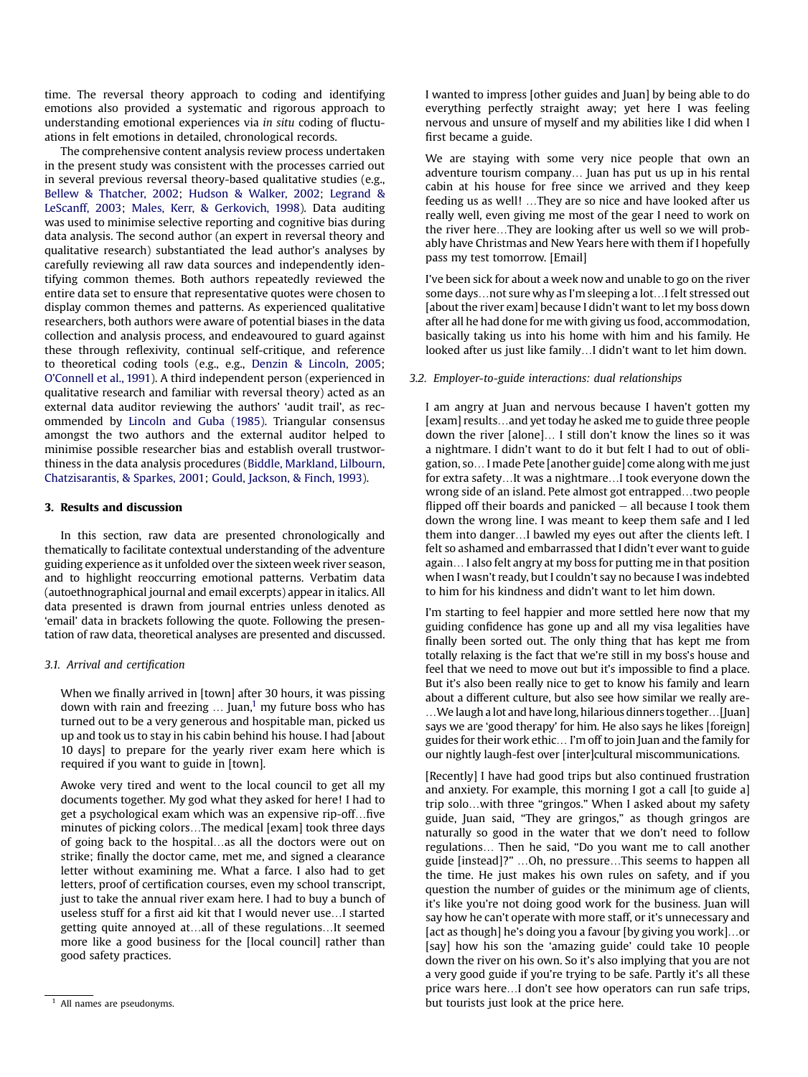time. The reversal theory approach to coding and identifying emotions also provided a systematic and rigorous approach to understanding emotional experiences via in situ coding of fluctuations in felt emotions in detailed, chronological records.

The comprehensive content analysis review process undertaken in the present study was consistent with the processes carried out in several previous reversal theory-based qualitative studies (e.g., Bellew & [Thatcher,](#page-9-0) 2002; [Hudson](#page-10-0) & Walker, 2002; [Legrand](#page-10-0) & [LeScanff,](#page-10-0) 2003; Males, Kerr, & [Gerkovich,](#page-10-0) 1998). Data auditing was used to minimise selective reporting and cognitive bias during data analysis. The second author (an expert in reversal theory and qualitative research) substantiated the lead author's analyses by carefully reviewing all raw data sources and independently identifying common themes. Both authors repeatedly reviewed the entire data set to ensure that representative quotes were chosen to display common themes and patterns. As experienced qualitative researchers, both authors were aware of potential biases in the data collection and analysis process, and endeavoured to guard against these through reflexivity, continual self-critique, and reference to theoretical coding tools (e.g., e.g., Denzin & [Lincoln,](#page-10-0) 2005; O'[Connell](#page-10-0) et al., 1991). A third independent person (experienced in qualitative research and familiar with reversal theory) acted as an external data auditor reviewing the authors' 'audit trail', as recommended by [Lincoln](#page-10-0) and Guba (1985). Triangular consensus amongst the two authors and the external auditor helped to minimise possible researcher bias and establish overall trustworthiness in the data analysis procedures (Biddle, [Markland,](#page-9-0) Lilbourn, [Chatzisarantis,](#page-9-0) & Sparkes, 2001; Gould, [Jackson,](#page-10-0) & Finch, 1993).

## 3. Results and discussion

In this section, raw data are presented chronologically and thematically to facilitate contextual understanding of the adventure guiding experience as it unfolded over the sixteen week river season, and to highlight reoccurring emotional patterns. Verbatim data (autoethnographical journal and email excerpts) appear in italics. All data presented is drawn from journal entries unless denoted as 'email' data in brackets following the quote. Following the presentation of raw data, theoretical analyses are presented and discussed.

#### 3.1. Arrival and certification

When we finally arrived in [town] after 30 hours, it was pissing down with rain and freezing  $\ldots$  Juan,<sup>1</sup> my future boss who has turned out to be a very generous and hospitable man, picked us up and took us to stay in his cabin behind his house. I had [about 10 days] to prepare for the yearly river exam here which is required if you want to guide in [town].

Awoke very tired and went to the local council to get all my documents together. My god what they asked for here! I had to get a psychological exam which was an expensive rip-off...five minutes of picking colors...The medical [exam] took three days of going back to the hospital...as all the doctors were out on strike; finally the doctor came, met me, and signed a clearance letter without examining me. What a farce. I also had to get letters, proof of certification courses, even my school transcript, just to take the annual river exam here. I had to buy a bunch of useless stuff for a first aid kit that I would never use...I started getting quite annoyed at...all of these regulations...It seemed more like a good business for the [local council] rather than good safety practices.

I wanted to impress [other guides and Juan] by being able to do everything perfectly straight away; yet here I was feeling nervous and unsure of myself and my abilities like I did when I first became a guide.

We are staying with some very nice people that own an adventure tourism company... Juan has put us up in his rental cabin at his house for free since we arrived and they keep feeding us as well! ...They are so nice and have looked after us really well, even giving me most of the gear I need to work on the river here...They are looking after us well so we will probably have Christmas and New Years here with them if I hopefully pass my test tomorrow. [Email]

I've been sick for about a week now and unable to go on the river some days...not sure why as I'm sleeping a lot...I felt stressed out [about the river exam] because I didn't want to let my boss down after all he had done for me with giving us food, accommodation, basically taking us into his home with him and his family. He looked after us just like family...I didn't want to let him down.

#### 3.2. Employer-to-guide interactions: dual relationships

I am angry at Juan and nervous because I haven't gotten my [exam] results...and yet today he asked me to guide three people down the river [alone]. I still don't know the lines so it was a nightmare. I didn't want to do it but felt I had to out of obligation, so. I made Pete [another guide] come along with me just for extra safety...It was a nightmare...I took everyone down the wrong side of an island. Pete almost got entrapped...two people flipped off their boards and panicked  $-$  all because I took them down the wrong line. I was meant to keep them safe and I led them into danger...I bawled my eyes out after the clients left. I felt so ashamed and embarrassed that I didn't ever want to guide again. I also felt angry at my boss for putting me in that position when I wasn't ready, but I couldn't say no because I was indebted to him for his kindness and didn't want to let him down.

I'm starting to feel happier and more settled here now that my guiding confidence has gone up and all my visa legalities have finally been sorted out. The only thing that has kept me from totally relaxing is the fact that we're still in my boss's house and feel that we need to move out but it's impossible to find a place. But it's also been really nice to get to know his family and learn about a different culture, but also see how similar we really are ... We laugh a lot and have long, hilarious dinners together... [Juan] says we are 'good therapy' for him. He also says he likes [foreign] guides for their work ethic. I'm off to join Juan and the family for our nightly laugh-fest over [inter]cultural miscommunications.

[Recently] I have had good trips but also continued frustration and anxiety. For example, this morning I got a call [to guide a] trip solo...with three "gringos." When I asked about my safety guide, Juan said, "They are gringos," as though gringos are naturally so good in the water that we don't need to follow regulations. Then he said, "Do you want me to call another guide [instead]?" ...Oh, no pressure...This seems to happen all the time. He just makes his own rules on safety, and if you question the number of guides or the minimum age of clients, it's like you're not doing good work for the business. Juan will say how he can't operate with more staff, or it's unnecessary and [act as though] he's doing you a favour [by giving you work]...or [say] how his son the 'amazing guide' could take 10 people down the river on his own. So it's also implying that you are not a very good guide if you're trying to be safe. Partly it's all these price wars here...I don't see how operators can run safe trips, but tourists just look at the price here.

<sup>&</sup>lt;sup>1</sup> All names are pseudonyms.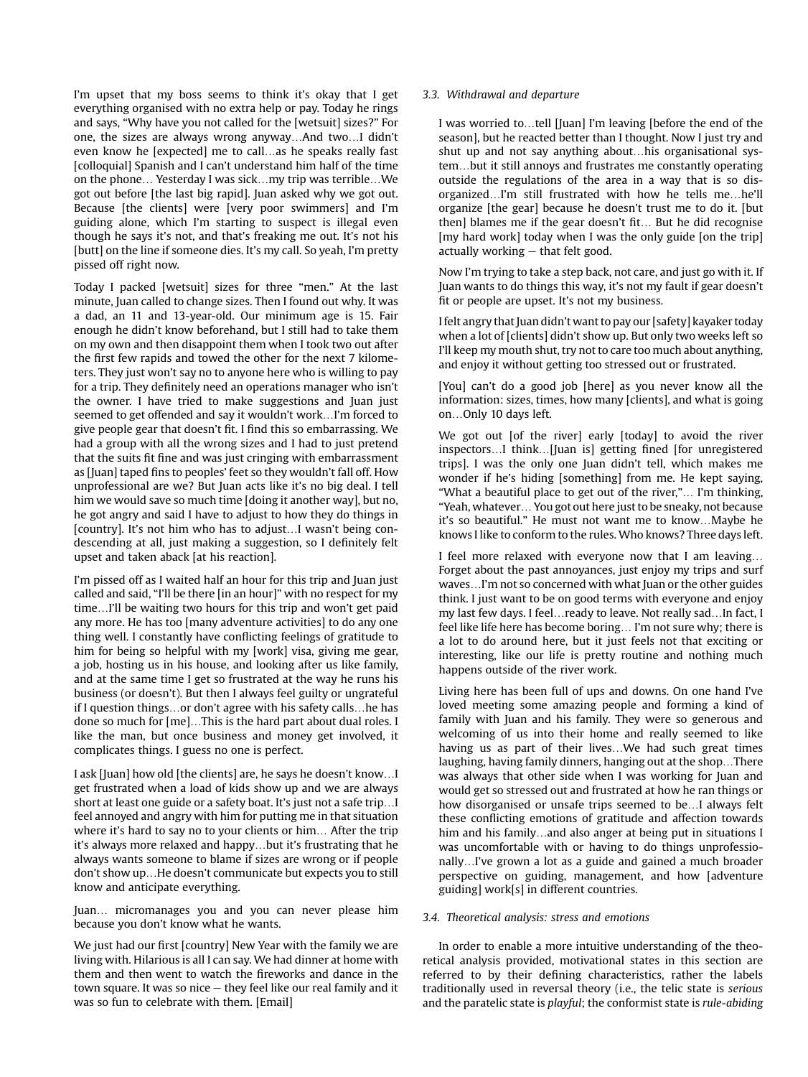I'm upset that my boss seems to think it's okay that I get everything organised with no extra help or pay. Today he rings and says, "Why have you not called for the [wetsuit] sizes?" For one, the sizes are always wrong anyway...And two...I didn't even know he [expected] me to call...as he speaks really fast [colloquial] Spanish and I can't understand him half of the time on the phone... Yesterday I was sick...my trip was terrible...We got out before [the last big rapid]. Juan asked why we got out. Because [the clients] were [very poor swimmers] and I'm guiding alone, which I'm starting to suspect is illegal even though he says it's not, and that's freaking me out. It's not his [butt] on the line if someone dies. It's my call. So yeah, I'm pretty pissed off right now.

Today I packed [wetsuit] sizes for three "men." At the last minute, Juan called to change sizes. Then I found out why. It was a dad, an 11 and 13-year-old. Our minimum age is 15. Fair enough he didn't know beforehand, but I still had to take them on my own and then disappoint them when I took two out after the first few rapids and towed the other for the next 7 kilometers. They just won't say no to anyone here who is willing to pay for a trip. They definitely need an operations manager who isn't the owner. I have tried to make suggestions and Juan just seemed to get offended and say it wouldn't work...I'm forced to give people gear that doesn't fit. I find this so embarrassing. We had a group with all the wrong sizes and I had to just pretend that the suits fit fine and was just cringing with embarrassment as [Juan] taped fins to peoples' feet so they wouldn't fall off. How unprofessional are we? But Juan acts like it's no big deal. I tell him we would save so much time [doing it another way], but no, he got angry and said I have to adjust to how they do things in [country]. It's not him who has to adjust...I wasn't being condescending at all, just making a suggestion, so I definitely felt upset and taken aback [at his reaction].

I'm pissed off as I waited half an hour for this trip and Juan just called and said, "I'll be there [in an hour]" with no respect for my time...I'll be waiting two hours for this trip and won't get paid any more. He has too [many adventure activities] to do any one thing well. I constantly have conflicting feelings of gratitude to him for being so helpful with my [work] visa, giving me gear, a job, hosting us in his house, and looking after us like family, and at the same time I get so frustrated at the way he runs his business (or doesn't). But then I always feel guilty or ungrateful if I question things...or don't agree with his safety calls...he has done so much for [me]...This is the hard part about dual roles. I like the man, but once business and money get involved, it complicates things. I guess no one is perfect.

I ask [Juan] how old [the clients] are, he says he doesn't know.... get frustrated when a load of kids show up and we are always short at least one guide or a safety boat. It's just not a safe trip...I feel annoyed and angry with him for putting me in that situation where it's hard to say no to your clients or him... After the trip it's always more relaxed and happy...but it's frustrating that he always wants someone to blame if sizes are wrong or if people don't show up... He doesn't communicate but expects you to still know and anticipate everything.

Juan... micromanages you and you can never please him because you don't know what he wants.

We just had our first [country] New Year with the family we are living with. Hilarious is all I can say. We had dinner at home with them and then went to watch the fireworks and dance in the town square. It was so nice  $-$  they feel like our real family and it was so fun to celebrate with them. [Email]

# 3.3. Withdrawal and departure

I was worried to...tell [Juan] I'm leaving [before the end of the season], but he reacted better than I thought. Now I just try and shut up and not say anything about...his organisational system...but it still annoys and frustrates me constantly operating outside the regulations of the area in a way that is so disorganized...I'm still frustrated with how he tells me...he'll organize [the gear] because he doesn't trust me to do it. [but then] blames me if the gear doesn't fit... But he did recognise [my hard work] today when I was the only guide [on the trip] actually working  $-$  that felt good.

Now I'm trying to take a step back, not care, and just go with it. If Juan wants to do things this way, it's not my fault if gear doesn't fit or people are upset. It's not my business.

I felt angry that Juan didn't want to pay our [safety] kayaker today when a lot of [clients] didn't show up. But only two weeks left so I'll keep my mouth shut, try not to care too much about anything, and enjoy it without getting too stressed out or frustrated.

[You] can't do a good job [here] as you never know all the information: sizes, times, how many [clients], and what is going on...Only 10 days left.

We got out [of the river] early [today] to avoid the river inspectors...I think...[Juan is] getting fined [for unregistered trips]. I was the only one Juan didn't tell, which makes me wonder if he's hiding [something] from me. He kept saying, "What a beautiful place to get out of the river,"... I'm thinking, "Yeah, whatever... You got out here just to be sneaky, not because it's so beautiful." He must not want me to know...Maybe he knows I like to conform to the rules. Who knows? Three days left.

I feel more relaxed with everyone now that I am leaving... Forget about the past annoyances, just enjoy my trips and surf waves...I'm not so concerned with what Juan or the other guides think. I just want to be on good terms with everyone and enjoy my last few days. I feel...ready to leave. Not really sad...In fact, I feel like life here has become boring... I'm not sure why; there is a lot to do around here, but it just feels not that exciting or interesting, like our life is pretty routine and nothing much happens outside of the river work.

Living here has been full of ups and downs. On one hand I've loved meeting some amazing people and forming a kind of family with Juan and his family. They were so generous and welcoming of us into their home and really seemed to like having us as part of their lives...We had such great times laughing, having family dinners, hanging out at the shop...There was always that other side when I was working for Juan and would get so stressed out and frustrated at how he ran things or how disorganised or unsafe trips seemed to be...I always felt these conflicting emotions of gratitude and affection towards him and his family...and also anger at being put in situations I was uncomfortable with or having to do things unprofessionally...I've grown a lot as a guide and gained a much broader perspective on guiding, management, and how [adventure guiding] work[s] in different countries.

# 3.4. Theoretical analysis: stress and emotions

In order to enable a more intuitive understanding of the theoretical analysis provided, motivational states in this section are referred to by their defining characteristics, rather the labels traditionally used in reversal theory (i.e., the telic state is serious and the paratelic state is playful; the conformist state is rule-abiding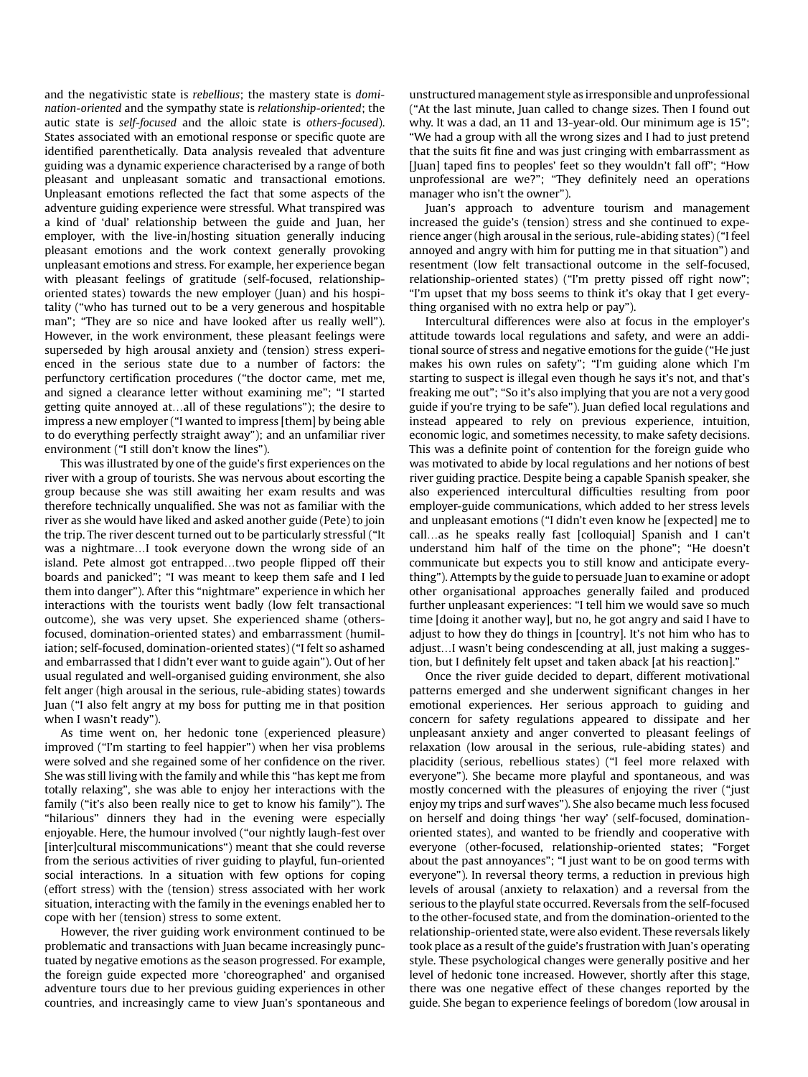and the negativistic state is rebellious; the mastery state is domination-oriented and the sympathy state is relationship-oriented; the autic state is self-focused and the alloic state is others-focused). States associated with an emotional response or specific quote are identified parenthetically. Data analysis revealed that adventure guiding was a dynamic experience characterised by a range of both pleasant and unpleasant somatic and transactional emotions. Unpleasant emotions reflected the fact that some aspects of the adventure guiding experience were stressful. What transpired was a kind of 'dual' relationship between the guide and Juan, her employer, with the live-in/hosting situation generally inducing pleasant emotions and the work context generally provoking unpleasant emotions and stress. For example, her experience began with pleasant feelings of gratitude (self-focused, relationshiporiented states) towards the new employer (Juan) and his hospitality ("who has turned out to be a very generous and hospitable man"; "They are so nice and have looked after us really well"). However, in the work environment, these pleasant feelings were superseded by high arousal anxiety and (tension) stress experienced in the serious state due to a number of factors: the perfunctory certification procedures ("the doctor came, met me, and signed a clearance letter without examining me"; "I started getting quite annoyed at...all of these regulations"); the desire to impress a new employer ("I wanted to impress [them] by being able to do everything perfectly straight away"); and an unfamiliar river environment ("I still don't know the lines").

This was illustrated by one of the guide's first experiences on the river with a group of tourists. She was nervous about escorting the group because she was still awaiting her exam results and was therefore technically unqualified. She was not as familiar with the river as she would have liked and asked another guide (Pete) to join the trip. The river descent turned out to be particularly stressful ("It was a nightmare...I took everyone down the wrong side of an island. Pete almost got entrapped...two people flipped off their boards and panicked"; "I was meant to keep them safe and I led them into danger"). After this "nightmare" experience in which her interactions with the tourists went badly (low felt transactional outcome), she was very upset. She experienced shame (othersfocused, domination-oriented states) and embarrassment (humiliation; self-focused, domination-oriented states) ("I felt so ashamed and embarrassed that I didn't ever want to guide again"). Out of her usual regulated and well-organised guiding environment, she also felt anger (high arousal in the serious, rule-abiding states) towards Juan ("I also felt angry at my boss for putting me in that position when I wasn't ready").

As time went on, her hedonic tone (experienced pleasure) improved ("I'm starting to feel happier") when her visa problems were solved and she regained some of her confidence on the river. She was still living with the family and while this "has kept me from totally relaxing", she was able to enjoy her interactions with the family ("it's also been really nice to get to know his family"). The "hilarious" dinners they had in the evening were especially enjoyable. Here, the humour involved ("our nightly laugh-fest over [inter]cultural miscommunications") meant that she could reverse from the serious activities of river guiding to playful, fun-oriented social interactions. In a situation with few options for coping (effort stress) with the (tension) stress associated with her work situation, interacting with the family in the evenings enabled her to cope with her (tension) stress to some extent.

However, the river guiding work environment continued to be problematic and transactions with Juan became increasingly punctuated by negative emotions as the season progressed. For example, the foreign guide expected more 'choreographed' and organised adventure tours due to her previous guiding experiences in other countries, and increasingly came to view Juan's spontaneous and unstructured management style as irresponsible and unprofessional ("At the last minute, Juan called to change sizes. Then I found out why. It was a dad, an 11 and 13-year-old. Our minimum age is 15"; "We had a group with all the wrong sizes and I had to just pretend that the suits fit fine and was just cringing with embarrassment as [Juan] taped fins to peoples' feet so they wouldn't fall off"; "How unprofessional are we?"; "They definitely need an operations manager who isn't the owner").

Juan's approach to adventure tourism and management increased the guide's (tension) stress and she continued to experience anger (high arousal in the serious, rule-abiding states) ("I feel annoyed and angry with him for putting me in that situation") and resentment (low felt transactional outcome in the self-focused, relationship-oriented states) ("I'm pretty pissed off right now"; "I'm upset that my boss seems to think it's okay that I get everything organised with no extra help or pay").

Intercultural differences were also at focus in the employer's attitude towards local regulations and safety, and were an additional source of stress and negative emotions for the guide ("He just makes his own rules on safety"; "I'm guiding alone which I'm starting to suspect is illegal even though he says it's not, and that's freaking me out"; "So it's also implying that you are not a very good guide if you're trying to be safe"). Juan defied local regulations and instead appeared to rely on previous experience, intuition, economic logic, and sometimes necessity, to make safety decisions. This was a definite point of contention for the foreign guide who was motivated to abide by local regulations and her notions of best river guiding practice. Despite being a capable Spanish speaker, she also experienced intercultural difficulties resulting from poor employer-guide communications, which added to her stress levels and unpleasant emotions ("I didn't even know he [expected] me to call...as he speaks really fast [colloquial] Spanish and I can't understand him half of the time on the phone"; "He doesn't communicate but expects you to still know and anticipate everything"). Attempts by the guide to persuade Juan to examine or adopt other organisational approaches generally failed and produced further unpleasant experiences: "I tell him we would save so much time [doing it another way], but no, he got angry and said I have to adjust to how they do things in [country]. It's not him who has to adjust...I wasn't being condescending at all, just making a suggestion, but I definitely felt upset and taken aback [at his reaction]."

Once the river guide decided to depart, different motivational patterns emerged and she underwent significant changes in her emotional experiences. Her serious approach to guiding and concern for safety regulations appeared to dissipate and her unpleasant anxiety and anger converted to pleasant feelings of relaxation (low arousal in the serious, rule-abiding states) and placidity (serious, rebellious states) ("I feel more relaxed with everyone"). She became more playful and spontaneous, and was mostly concerned with the pleasures of enjoying the river ("just enjoy my trips and surf waves"). She also became much less focused on herself and doing things 'her way' (self-focused, dominationoriented states), and wanted to be friendly and cooperative with everyone (other-focused, relationship-oriented states; "Forget about the past annoyances"; "I just want to be on good terms with everyone"). In reversal theory terms, a reduction in previous high levels of arousal (anxiety to relaxation) and a reversal from the serious to the playful state occurred. Reversals from the self-focused to the other-focused state, and from the domination-oriented to the relationship-oriented state, were also evident. These reversals likely took place as a result of the guide's frustration with Juan's operating style. These psychological changes were generally positive and her level of hedonic tone increased. However, shortly after this stage, there was one negative effect of these changes reported by the guide. She began to experience feelings of boredom (low arousal in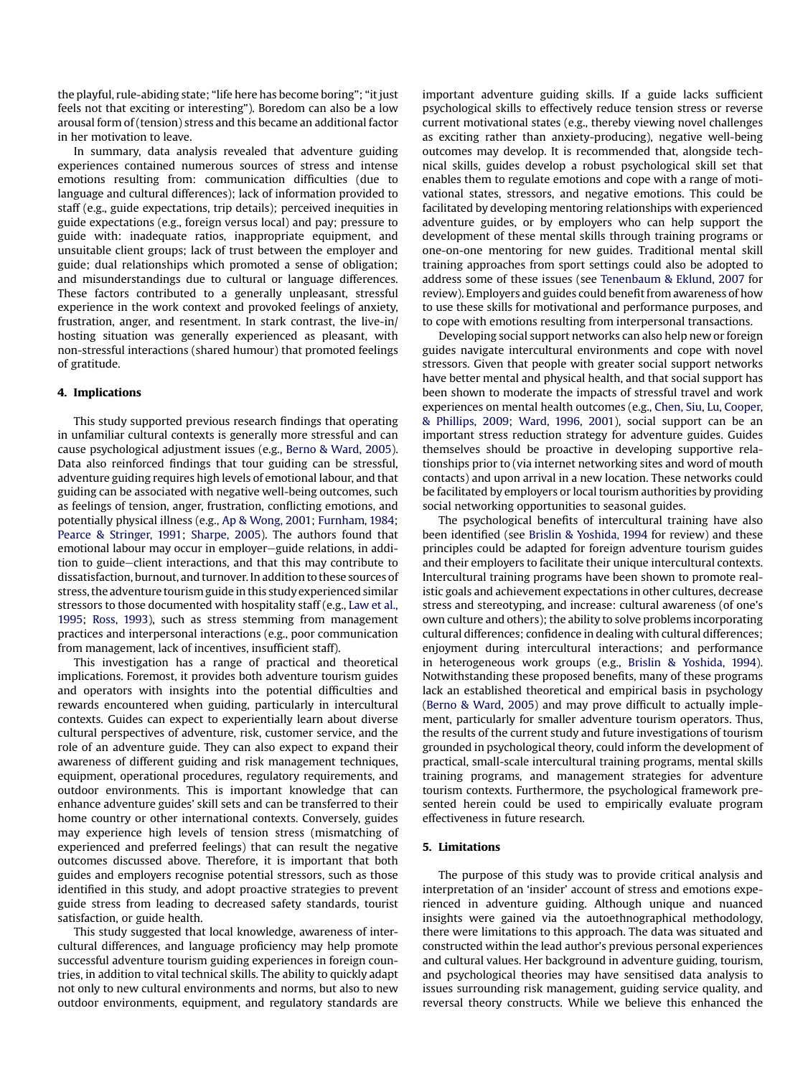the playful, rule-abiding state; "life here has become boring"; "it just feels not that exciting or interesting"). Boredom can also be a low arousal form of (tension) stress and this became an additional factor in her motivation to leave.

In summary, data analysis revealed that adventure guiding experiences contained numerous sources of stress and intense emotions resulting from: communication difficulties (due to language and cultural differences); lack of information provided to staff (e.g., guide expectations, trip details); perceived inequities in guide expectations (e.g., foreign versus local) and pay; pressure to guide with: inadequate ratios, inappropriate equipment, and unsuitable client groups; lack of trust between the employer and guide; dual relationships which promoted a sense of obligation; and misunderstandings due to cultural or language differences. These factors contributed to a generally unpleasant, stressful experience in the work context and provoked feelings of anxiety, frustration, anger, and resentment. In stark contrast, the live-in/ hosting situation was generally experienced as pleasant, with non-stressful interactions (shared humour) that promoted feelings of gratitude.

## 4. Implications

This study supported previous research findings that operating in unfamiliar cultural contexts is generally more stressful and can cause psychological adjustment issues (e.g., Berno & [Ward,](#page-9-0) 2005). Data also reinforced findings that tour guiding can be stressful, adventure guiding requires high levels of emotional labour, and that guiding can be associated with negative well-being outcomes, such as feelings of tension, anger, frustration, conflicting emotions, and potentially physical illness (e.g., Ap & [Wong,](#page-9-0) 2001; [Furnham,](#page-10-0) 1984; Pearce & [Stringer,](#page-10-0) 1991; [Sharpe,](#page-11-0) 2005). The authors found that emotional labour may occur in employer-guide relations, in addition to guide-client interactions, and that this may contribute to dissatisfaction, burnout, and turnover. In addition to these sources of stress, the adventure tourism guide in this study experienced similar stressors to those documented with hospitality staff (e.g., [Law](#page-10-0) et al., [1995;](#page-10-0) [Ross,](#page-11-0) 1993), such as stress stemming from management practices and interpersonal interactions (e.g., poor communication from management, lack of incentives, insufficient staff).

This investigation has a range of practical and theoretical implications. Foremost, it provides both adventure tourism guides and operators with insights into the potential difficulties and rewards encountered when guiding, particularly in intercultural contexts. Guides can expect to experientially learn about diverse cultural perspectives of adventure, risk, customer service, and the role of an adventure guide. They can also expect to expand their awareness of different guiding and risk management techniques, equipment, operational procedures, regulatory requirements, and outdoor environments. This is important knowledge that can enhance adventure guides' skill sets and can be transferred to their home country or other international contexts. Conversely, guides may experience high levels of tension stress (mismatching of experienced and preferred feelings) that can result the negative outcomes discussed above. Therefore, it is important that both guides and employers recognise potential stressors, such as those identified in this study, and adopt proactive strategies to prevent guide stress from leading to decreased safety standards, tourist satisfaction, or guide health.

This study suggested that local knowledge, awareness of intercultural differences, and language proficiency may help promote successful adventure tourism guiding experiences in foreign countries, in addition to vital technical skills. The ability to quickly adapt not only to new cultural environments and norms, but also to new outdoor environments, equipment, and regulatory standards are important adventure guiding skills. If a guide lacks sufficient psychological skills to effectively reduce tension stress or reverse current motivational states (e.g., thereby viewing novel challenges as exciting rather than anxiety-producing), negative well-being outcomes may develop. It is recommended that, alongside technical skills, guides develop a robust psychological skill set that enables them to regulate emotions and cope with a range of motivational states, stressors, and negative emotions. This could be facilitated by developing mentoring relationships with experienced adventure guides, or by employers who can help support the development of these mental skills through training programs or one-on-one mentoring for new guides. Traditional mental skill training approaches from sport settings could also be adopted to address some of these issues (see [Tenenbaum](#page-11-0) & Eklund, 2007 for review). Employers and guides could benefit from awareness of how to use these skills for motivational and performance purposes, and to cope with emotions resulting from interpersonal transactions.

Developing social support networks can also help new or foreign guides navigate intercultural environments and cope with novel stressors. Given that people with greater social support networks have better mental and physical health, and that social support has been shown to moderate the impacts of stressful travel and work experiences on mental health outcomes (e.g., Chen, Siu, Lu, [Cooper,](#page-10-0) & [Phillips,](#page-10-0) 2009; [Ward,](#page-11-0) 1996, [2001\)](#page-11-0), social support can be an important stress reduction strategy for adventure guides. Guides themselves should be proactive in developing supportive relationships prior to (via internet networking sites and word of mouth contacts) and upon arrival in a new location. These networks could be facilitated by employers or local tourism authorities by providing social networking opportunities to seasonal guides.

The psychological benefits of intercultural training have also been identified (see Brislin & [Yoshida,](#page-9-0) 1994 for review) and these principles could be adapted for foreign adventure tourism guides and their employers to facilitate their unique intercultural contexts. Intercultural training programs have been shown to promote realistic goals and achievement expectations in other cultures, decrease stress and stereotyping, and increase: cultural awareness (of one's own culture and others); the ability to solve problems incorporating cultural differences; confidence in dealing with cultural differences; enjoyment during intercultural interactions; and performance in heterogeneous work groups (e.g., Brislin & [Yoshida,](#page-9-0) 1994). Notwithstanding these proposed benefits, many of these programs lack an established theoretical and empirical basis in psychology (Berno & [Ward,](#page-9-0) 2005) and may prove difficult to actually implement, particularly for smaller adventure tourism operators. Thus, the results of the current study and future investigations of tourism grounded in psychological theory, could inform the development of practical, small-scale intercultural training programs, mental skills training programs, and management strategies for adventure tourism contexts. Furthermore, the psychological framework presented herein could be used to empirically evaluate program effectiveness in future research.

# 5. Limitations

The purpose of this study was to provide critical analysis and interpretation of an 'insider' account of stress and emotions experienced in adventure guiding. Although unique and nuanced insights were gained via the autoethnographical methodology, there were limitations to this approach. The data was situated and constructed within the lead author's previous personal experiences and cultural values. Her background in adventure guiding, tourism, and psychological theories may have sensitised data analysis to issues surrounding risk management, guiding service quality, and reversal theory constructs. While we believe this enhanced the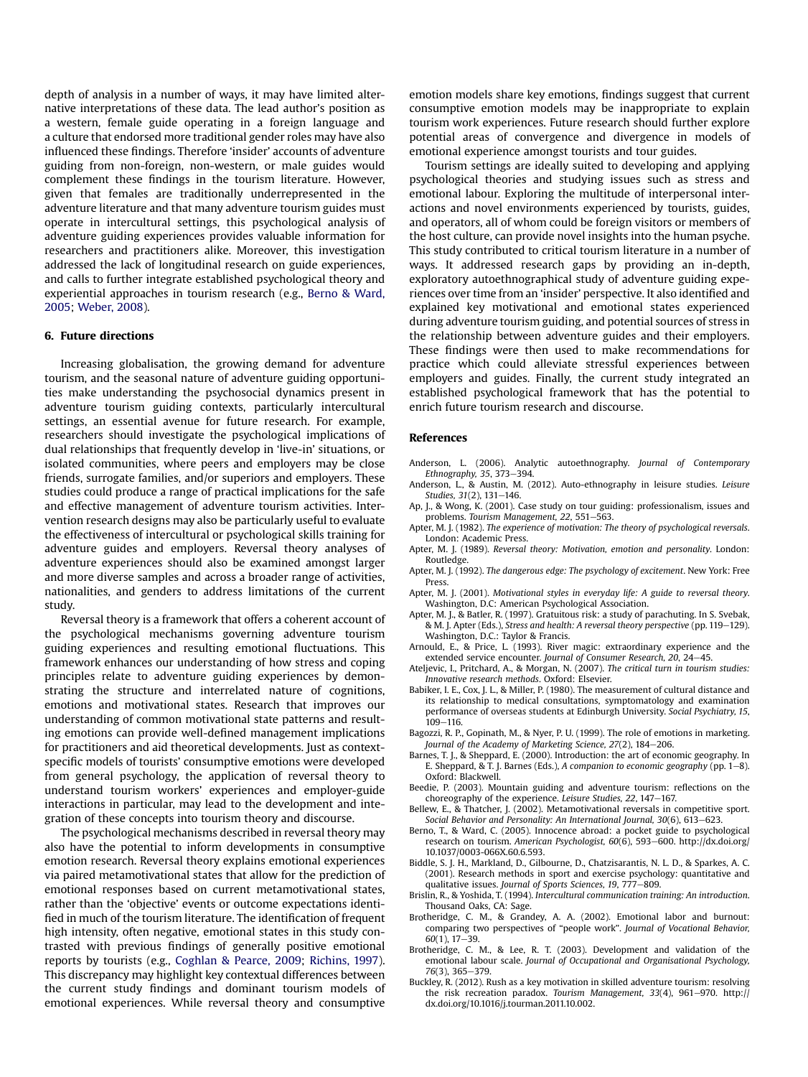<span id="page-9-0"></span>depth of analysis in a number of ways, it may have limited alternative interpretations of these data. The lead author's position as a western, female guide operating in a foreign language and a culture that endorsed more traditional gender roles may have also influenced these findings. Therefore 'insider' accounts of adventure guiding from non-foreign, non-western, or male guides would complement these findings in the tourism literature. However, given that females are traditionally underrepresented in the adventure literature and that many adventure tourism guides must operate in intercultural settings, this psychological analysis of adventure guiding experiences provides valuable information for researchers and practitioners alike. Moreover, this investigation addressed the lack of longitudinal research on guide experiences, and calls to further integrate established psychological theory and experiential approaches in tourism research (e.g., Berno & Ward, 2005; [Weber,](#page-11-0) 2008).

#### 6. Future directions

Increasing globalisation, the growing demand for adventure tourism, and the seasonal nature of adventure guiding opportunities make understanding the psychosocial dynamics present in adventure tourism guiding contexts, particularly intercultural settings, an essential avenue for future research. For example, researchers should investigate the psychological implications of dual relationships that frequently develop in 'live-in' situations, or isolated communities, where peers and employers may be close friends, surrogate families, and/or superiors and employers. These studies could produce a range of practical implications for the safe and effective management of adventure tourism activities. Intervention research designs may also be particularly useful to evaluate the effectiveness of intercultural or psychological skills training for adventure guides and employers. Reversal theory analyses of adventure experiences should also be examined amongst larger and more diverse samples and across a broader range of activities, nationalities, and genders to address limitations of the current study.

Reversal theory is a framework that offers a coherent account of the psychological mechanisms governing adventure tourism guiding experiences and resulting emotional fluctuations. This framework enhances our understanding of how stress and coping principles relate to adventure guiding experiences by demonstrating the structure and interrelated nature of cognitions, emotions and motivational states. Research that improves our understanding of common motivational state patterns and resulting emotions can provide well-defined management implications for practitioners and aid theoretical developments. Just as contextspecific models of tourists' consumptive emotions were developed from general psychology, the application of reversal theory to understand tourism workers' experiences and employer-guide interactions in particular, may lead to the development and integration of these concepts into tourism theory and discourse.

The psychological mechanisms described in reversal theory may also have the potential to inform developments in consumptive emotion research. Reversal theory explains emotional experiences via paired metamotivational states that allow for the prediction of emotional responses based on current metamotivational states, rather than the 'objective' events or outcome expectations identified in much of the tourism literature. The identification of frequent high intensity, often negative, emotional states in this study contrasted with previous findings of generally positive emotional reports by tourists (e.g., [Coghlan](#page-10-0) & Pearce, 2009; [Richins,](#page-11-0) 1997). This discrepancy may highlight key contextual differences between the current study findings and dominant tourism models of emotional experiences. While reversal theory and consumptive emotion models share key emotions, findings suggest that current consumptive emotion models may be inappropriate to explain tourism work experiences. Future research should further explore potential areas of convergence and divergence in models of emotional experience amongst tourists and tour guides.

Tourism settings are ideally suited to developing and applying psychological theories and studying issues such as stress and emotional labour. Exploring the multitude of interpersonal interactions and novel environments experienced by tourists, guides, and operators, all of whom could be foreign visitors or members of the host culture, can provide novel insights into the human psyche. This study contributed to critical tourism literature in a number of ways. It addressed research gaps by providing an in-depth, exploratory autoethnographical study of adventure guiding experiences over time from an 'insider' perspective. It also identified and explained key motivational and emotional states experienced during adventure tourism guiding, and potential sources of stress in the relationship between adventure guides and their employers. These findings were then used to make recommendations for practice which could alleviate stressful experiences between employers and guides. Finally, the current study integrated an established psychological framework that has the potential to enrich future tourism research and discourse.

#### References

- Anderson, L. (2006). Analytic autoethnography. Journal of Contemporary Ethnography, 35, 373-394.
- Anderson, L., & Austin, M. (2012). Auto-ethnography in leisure studies. Leisure Studies, 31(2), 131-146.
- Ap, J., & Wong, K. (2001). Case study on tour guiding: professionalism, issues and problems. Tourism Management, 22, 551-563.
- Apter, M. J. (1982). The experience of motivation: The theory of psychological reversals. London: Academic Press.
- Apter, M. J. (1989). Reversal theory: Motivation, emotion and personality. London: Routledge.
- Apter, M. J. (1992). The dangerous edge: The psychology of excitement. New York: Free Press.
- Apter, M. J. (2001). Motivational styles in everyday life: A guide to reversal theory. Washington, D.C: American Psychological Association.
- Apter, M. J., & Batler, R. (1997). Gratuitous risk: a study of parachuting. In S. Svebak, & M. J. Apter (Eds.), Stress and health: A reversal theory perspective (pp. 119-129). Washington, D.C.: Taylor & Francis.
- Arnould, E., & Price, L. (1993). River magic: extraordinary experience and the extended service encounter. Journal of Consumer Research, 20, 24-45.
- Ateljevic, I., Pritchard, A., & Morgan, N. (2007). The critical turn in tourism studies: Innovative research methods. Oxford: Elsevier.
- Babiker, I. E., Cox, J. L., & Miller, P. (1980). The measurement of cultural distance and its relationship to medical consultations, symptomatology and examination performance of overseas students at Edinburgh University. Social Psychiatry, 15, 109-116
- Bagozzi, R. P., Gopinath, M., & Nyer, P. U. (1999). The role of emotions in marketing. Journal of the Academy of Marketing Science, 27(2), 184-206.
- Barnes, T. J., & Sheppard, E. (2000). Introduction: the art of economic geography. In E. Sheppard, & T. J. Barnes (Eds.), A companion to economic geography (pp.  $1-8$ ). Oxford: Blackwell.
- Beedie, P. (2003). Mountain guiding and adventure tourism: reflections on the choreography of the experience. Leisure Studies,  $22.147-167.$
- Bellew, E., & Thatcher, J. (2002). Metamotivational reversals in competitive sport. Social Behavior and Personality: An International Journal, 30(6), 613-623.
- Berno, T., & Ward, C. (2005). Innocence abroad: a pocket guide to psychological research on tourism. American Psychologist, 60(6), 593-600. http://dx.doi.org/ 10.1037/0003-066X.60.6.593.
- Biddle, S. J. H., Markland, D., Gilbourne, D., Chatzisarantis, N. L. D., & Sparkes, A. C. (2001). Research methods in sport and exercise psychology: quantitative and qualitative issues. Journal of Sports Sciences, 19, 777-809.
- Brislin, R., & Yoshida, T. (1994). Intercultural communication training: An introduction. Thousand Oaks, CA: Sage.
- Brotheridge, C. M., & Grandey, A. A. (2002). Emotional labor and burnout: comparing two perspectives of "people work". Journal of Vocational Behavior,  $60(1)$ , 17-39.
- Brotheridge, C. M., & Lee, R. T. (2003). Development and validation of the emotional labour scale. Journal of Occupational and Organisational Psychology, 76(3), 365-379.
- Buckley, R. (2012). Rush as a key motivation in skilled adventure tourism: resolving the risk recreation paradox. Tourism Management, 33(4), 961-970. http:// dx.doi.org/10.1016/j.tourman.2011.10.002.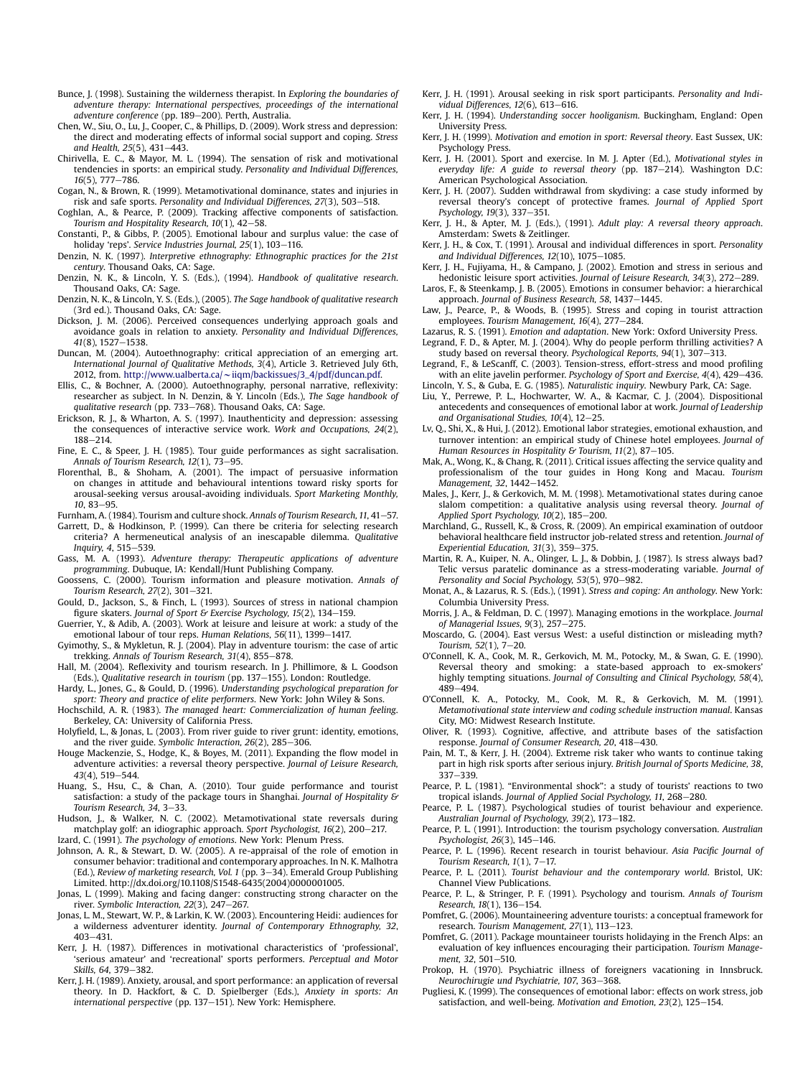- <span id="page-10-0"></span>Bunce, J. (1998). Sustaining the wilderness therapist. In Exploring the boundaries of adventure therapy: International perspectives, proceedings of the international  $adventure$  conference (pp.  $189-200$ ). Perth, Australia.
- Chen, W., Siu, O., Lu, J., Cooper, C., & Phillips, D. (2009). Work stress and depression: the direct and moderating effects of informal social support and coping. Stress and Health,  $25(5)$ ,  $431-443$ .
- Chirivella, E. C., & Mayor, M. L. (1994). The sensation of risk and motivational tendencies in sports: an empirical study. Personality and Individual Differences,  $16(5)$ , 777-786.
- Cogan, N., & Brown, R. (1999). Metamotivational dominance, states and injuries in
- risk and safe sports. Personality and Individual Differences, 27(3), 503–518.<br>Coghlan, A., & Pearce, P. (2009). Tracking affective components of satisfaction. Tourism and Hospitality Research,  $10(1)$ ,  $42-58$ .
- Constanti, P., & Gibbs, P. (2005). Emotional labour and surplus value: the case of holiday 'reps'. Service Industries Journal, 25(1), 103-116.
- Denzin, N. K. (1997). Interpretive ethnography: Ethnographic practices for the 21st century. Thousand Oaks, CA: Sage.
- Denzin, N. K., & Lincoln, Y. S. (Eds.), (1994). Handbook of qualitative research. Thousand Oaks, CA: Sage.
- Denzin, N. K., & Lincoln, Y. S. (Eds.), (2005). The Sage handbook of qualitative research (3rd ed.). Thousand Oaks, CA: Sage.
- Dickson, J. M. (2006). Perceived consequences underlying approach goals and avoidance goals in relation to anxiety. Personality and Individual Differences,  $41(8)$ , 1527-1538.
- Duncan, M. (2004). Autoethnography: critical appreciation of an emerging art. International Journal of Qualitative Methods, 3(4), Article 3. Retrieved July 6th, 2012, from. http://www.ualberta.ca/~iiqm/backissues/3\_4/pdf/duncan.pdf.
- Ellis, C., & Bochner, A. (2000). Autoethnography, personal narrative, reflexivity: researcher as subject. In N. Denzin, & Y. Lincoln (Eds.), The Sage handbook of qualitative research (pp. 733-768). Thousand Oaks, CA: Sage.
- Erickson, R. J., & Wharton, A. S. (1997). Inauthenticity and depression: assessing the consequences of interactive service work. Work and Occupations, 24(2), 188-214

Fine, E. C., & Speer, J. H. (1985). Tour guide performances as sight sacralisation. Annals of Tourism Research,  $12(1)$ ,  $73-95$ .

- Florenthal, B., & Shoham, A. (2001). The impact of persuasive information on changes in attitude and behavioural intentions toward risky sports for arousal-seeking versus arousal-avoiding individuals. Sport Marketing Monthly,  $10.83 - 95.$
- Furnham, A. (1984). Tourism and culture shock. Annals of Tourism Research, 11, 41-57.
- Garrett, D., & Hodkinson, P. (1999). Can there be criteria for selecting research criteria? A hermeneutical analysis of an inescapable dilemma. Qualitative Inquiry, 4, 515-539.
- Gass, M. A. (1993). Adventure therapy: Therapeutic applications of adventure programming. Dubuque, IA: Kendall/Hunt Publishing Company.
- Goossens, C. (2000). Tourism information and pleasure motivation. Annals of Tourism Research, 27(2), 301-321.
- Gould, D., Jackson, S., & Finch, L. (1993). Sources of stress in national champion figure skaters. Journal of Sport & Exercise Psychology, 15(2), 134-159.
- Guerrier, Y., & Adib, A. (2003). Work at leisure and leisure at work: a study of the emotional labour of tour reps. Human Relations, 56(11), 1399-1417.
- Gyimothy, S., & Mykletun, R. J. (2004). Play in adventure tourism: the case of artic trekking. Annals of Tourism Research, 31(4), 855-878.
- Hall, M. (2004). Reflexivity and tourism research. In J. Phillimore, & L. Goodson (Eds.), Qualitative research in tourism (pp. 137-155). London: Routledge.
- Hardy, L., Jones, G., & Gould, D. (1996). Understanding psychological preparation for sport: Theory and practice of elite performers. New York: John Wiley & Sons.
- Hochschild, A. R. (1983). The managed heart: Commercialization of human feeling. Berkeley, CA: University of California Press.
- Holyfield, L., & Jonas, L. (2003). From river guide to river grunt: identity, emotions, and the river guide. Symbolic Interaction,  $26(2)$ ,  $285-306$ .
- Houge Mackenzie, S., Hodge, K., & Boyes, M. (2011). Expanding the flow model in adventure activities: a reversal theory perspective. Journal of Leisure Research,  $43(4)$ , 519-544.
- Huang, S., Hsu, C., & Chan, A. (2010). Tour guide performance and tourist satisfaction: a study of the package tours in Shanghai. Journal of Hospitality & Tourism Research, 34, 3-33.
- Hudson, J., & Walker, N. C. (2002). Metamotivational state reversals during matchplay golf: an idiographic approach. Sport Psychologist, 16(2), 200-217.
- Izard, C. (1991). The psychology of emotions. New York: Plenum Press.
- Johnson, A. R., & Stewart, D. W. (2005). A re-appraisal of the role of emotion in consumer behavior: traditional and contemporary approaches. In N. K. Malhotra (Ed.), Review of marketing research, Vol. 1 (pp. 3-34). Emerald Group Publishing Limited. http://dx.doi.org/10.1108/S1548-6435(2004)0000001005.
- Jonas, L. (1999). Making and facing danger: constructing strong character on the river. Symbolic Interaction,  $22(3)$ ,  $247-267$ .
- Jonas, L. M., Stewart, W. P., & Larkin, K. W. (2003). Encountering Heidi: audiences for a wilderness adventurer identity. Journal of Contemporary Ethnography, 32, 403e431.
- Kerr, J. H. (1987). Differences in motivational characteristics of 'professional', 'serious amateur' and 'recreational' sports performers. Perceptual and Motor Skills, 64, 379-382.
- Kerr, J. H. (1989). Anxiety, arousal, and sport performance: an application of reversal theory. In D. Hackfort, & C. D. Spielberger (Eds.), Anxiety in sports: An international perspective (pp. 137-151). New York: Hemisphere.
- Kerr, J. H. (1991). Arousal seeking in risk sport participants. Personality and Individual Differences,  $12(6)$ ,  $613-616$ .
- Kerr, J. H. (1994). Understanding soccer hooliganism. Buckingham, England: Open University Press.
- Kerr, J. H. (1999). Motivation and emotion in sport: Reversal theory. East Sussex, UK: Psychology Press.
- Kerr, J. H. (2001). Sport and exercise. In M. J. Apter (Ed.), Motivational styles in everyday life: A guide to reversal theory (pp.  $187-214$ ). Washington D.C: American Psychological Association.
- Kerr, J. H. (2007). Sudden withdrawal from skydiving: a case study informed by reversal theory's concept of protective frames. Journal of Applied Sport  $Psychology, 19(3), 337-351.$
- Kerr, J. H., & Apter, M. J. (Eds.), (1991). Adult play: A reversal theory approach. Amsterdam: Swets & Zeitlinger.
- Kerr, J. H., & Cox, T. (1991). Arousal and individual differences in sport. Personality and Individual Differences,  $12(10)$ ,  $1075-1085$ .
- Kerr, J. H., Fujiyama, H., & Campano, J. (2002). Emotion and stress in serious and hedonistic leisure sport activities. Journal of Leisure Research, 34(3), 272-289.
- Laros, F., & Steenkamp, J. B. (2005). Emotions in consumer behavior: a hierarchical approach. Journal of Business Research, 58, 1437-1445.
- Law, J., Pearce, P., & Woods, B. (1995). Stress and coping in tourist attraction employees. Tourism Management, 16(4), 277-284.
- Lazarus, R. S. (1991). Emotion and adaptation. New York: Oxford University Press.
- Legrand, F. D., & Apter, M. J. (2004). Why do people perform thrilling activities? A study based on reversal theory. Psychological Reports, 94(1), 307-313.
- Legrand, F., & LeScanff, C. (2003). Tension-stress, effort-stress and mood profiling with an elite javelin performer. Psychology of Sport and Exercise, 4(4), 429-436. Lincoln, Y. S., & Guba, E. G. (1985). Naturalistic inquiry. Newbury Park, CA: Sage.
- Liu, Y., Perrewe, P. L., Hochwarter, W. A., & Kacmar, C. J. (2004). Dispositional antecedents and consequences of emotional labor at work. Journal of Leadership and Organisational Studies,  $10(4)$ ,  $12-25$ .
- Lv, Q., Shi, X., & Hui, J. (2012). Emotional labor strategies, emotional exhaustion, and turnover intention: an empirical study of Chinese hotel employees. Journal of Human Resources in Hospitality & Tourism,  $11(2)$ , 87-105.
- Mak, A., Wong, K., & Chang, R. (2011). Critical issues affecting the service quality and professionalism of the tour guides in Hong Kong and Macau. Tourism Management, 32, 1442-1452.
- Males, J., Kerr, J., & Gerkovich, M. M. (1998). Metamotivational states during canoe slalom competition: a qualitative analysis using reversal theory. Journal of Applied Sport Psychology, 10(2), 185-200.
- Marchland, G., Russell, K., & Cross, R. (2009). An empirical examination of outdoor behavioral healthcare field instructor job-related stress and retention. Journal of Experiential Education, 31(3), 359-375.
- Martin, R. A., Kuiper, N. A., Olinger, L. J., & Dobbin, J. (1987). Is stress always bad? Telic versus paratelic dominance as a stress-moderating variable. Journal of Personality and Social Psychology, 53(5), 970-982.
- Monat, A., & Lazarus, R. S. (Eds.), (1991). Stress and coping: An anthology. New York: Columbia University Press.
- Morris, J. A., & Feldman, D. C. (1997). Managing emotions in the workplace. Journal of Managerial Issues,  $9(3)$ ,  $257-275$ .
- Moscardo, G. (2004). East versus West: a useful distinction or misleading myth? Tourism,  $52(1)$ ,  $7-20$ .
- O'Connell, K. A., Cook, M. R., Gerkovich, M. M., Potocky, M., & Swan, G. E. (1990). Reversal theory and smoking: a state-based approach to ex-smokers' highly tempting situations. Journal of Consulting and Clinical Psychology, 58(4), 489-494.
- O'Connell, K. A., Potocky, M., Cook, M. R., & Gerkovich, M. M. (1991). Metamotivational state interview and coding schedule instruction manual. Kansas City, MO: Midwest Research Institute.
- Oliver, R. (1993). Cognitive, affective, and attribute bases of the satisfaction response. Journal of Consumer Research, 20, 418-430.
- Pain, M. T., & Kerr, J. H. (2004). Extreme risk taker who wants to continue taking part in high risk sports after serious injury. British Journal of Sports Medicine, 38, 337-339.
- Pearce, P. L. (1981). "Environmental shock": a study of tourists' reactions to two tropical islands. Journal of Applied Social Psychology, 11, 268-280.
- Pearce, P. L. (1987). Psychological studies of tourist behaviour and experience. Australian Journal of Psychology, 39(2), 173-182.
- Pearce, P. L. (1991). Introduction: the tourism psychology conversation. Australian Psychologist, 26(3), 145-146.
- Pearce, P. L. (1996). Recent research in tourist behaviour. Asia Pacific Journal of Tourism Research,  $1(1)$ ,  $7-17$ .
- Pearce, P. L. (2011). Tourist behaviour and the contemporary world. Bristol, UK: Channel View Publications.
- Pearce, P. L., & Stringer, P. F. (1991). Psychology and tourism. Annals of Tourism Research, 18(1), 136-154.
- Pomfret, G. (2006). Mountaineering adventure tourists: a conceptual framework for research. Tourism Management, 27(1), 113-123.
- Pomfret, G. (2011). Package mountaineer tourists holidaying in the French Alps: an evaluation of key influences encouraging their participation. Tourism Management, 32, 501 $-510$ .
- Prokop, H. (1970). Psychiatric illness of foreigners vacationing in Innsbruck. Neurochirugie und Psychiatrie, 107, 363-368.
- Pugliesi, K. (1999). The consequences of emotional labor: effects on work stress, job satisfaction, and well-being. Motivation and Emotion, 23(2), 125-154.